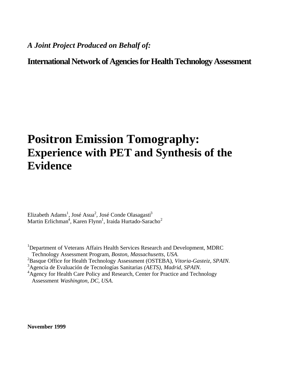## *A Joint Project Produced on Behalf of:*

# **International Network of Agencies for Health Technology Assessment**

# **Positron Emission Tomography: Experience with PET and Synthesis of the Evidence**

Elizabeth Adams<sup>1</sup>, José Asua<sup>2</sup>, José Conde Olasagasti<sup>3</sup> Martin Erlichman<sup>4</sup>, Karen Flynn<sup>1</sup>, Iraida Hurtado-Saracho<sup>2</sup>

<sup>1</sup>Department of Veterans Affairs Health Services Research and Development, MDRC Technology Assessment Program*, Boston, Massachusetts, USA.*

- <sup>2</sup>Basque Office for Health Technology Assessment (OSTEBA), *Vitoria-Gasteiz, SPAIN*.
- <sup>3</sup>Agencia de Evaluación de Tecnologías Sanitarias *(AETS), Madrid, SPAIN*.

<sup>4</sup>Agency for Health Care Policy and Research, Center for Practice and Technology Assessment *Washington, DC, USA*.

**November 1999**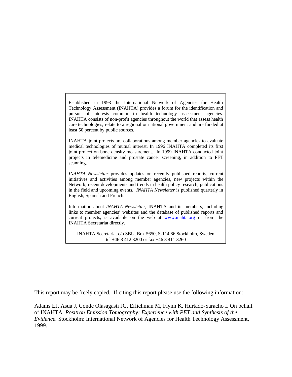Established in 1993 the International Network of Agencies for Health Technology Assessment (INAHTA) provides a forum for the identification and pursuit of interests common to health technology assessment agencies. INAHTA consists of non-profit agencies throughout the world that assess health care technologies, relate to a regional or national government and are funded at least 50 percent by public sources.

INAHTA joint projects are collaborations among member agencies to evaluate medical technologies of mutual interest. In 1996 INAHTA completed its first joint project on bone density measurement. In 1999 INAHTA conducted joint projects in telemedicine and prostate cancer screening, in addition to PET scanning.

*INAHTA Newsletter* provides updates on recently published reports, current initiatives and activities among member agencies, new projects within the Network, recent developments and trends in health policy research, publications in the field and upcoming events. *INAHTA Newsletter* is published quarterly in English, Spanish and French.

Information about *INAHTA Newsletter*, INAHTA and its members, including links to member agencies' websites and the database of published reports and current projects, is available on the web at www.inahta.org or from the INAHTA Secretariat directly.

INAHTA Secretariat c/o SBU, Box 5650, S-114 86 Stockholm, Sweden tel +46 8 412 3200 or fax +46 8 411 3260

This report may be freely copied. If citing this report please use the following information:

Adams EJ, Asua J, Conde Olasagasti JG, Erlichman M, Flynn K, Hurtado-Saracho I. On behalf of INAHTA. *Positron Emission Tomography: Experience with PET and Synthesis of the Evidence.* Stockholm: International Network of Agencies for Health Technology Assessment, 1999.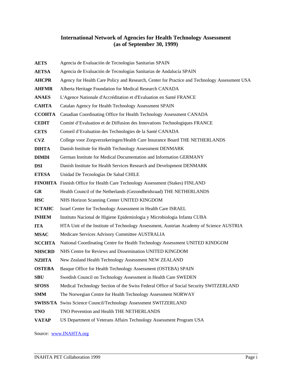#### **International Network of Agencies for Health Technology Assessment (as of September 30, 1999)**

**AETS** Agencia de Evaluación de Tecnologías Sanitarias SPAIN **AETSA** Agencia de Evaluación de Tecnologías Sanitarias de Andalucía SPAIN **AHCPR** Agency for Health Care Policy and Research, Center for Practice and Technology Assessment USA **AHFMR** Alberta Heritage Foundation for Medical Research CANADA **ANAES** L'Agence Nationale d'Accréditation et d'Evaluation en Santé FRANCE **CAHTA** Catalan Agency for Health Technology Assessment SPAIN **CCOHTA** Canadian Coordinating Office for Health Technology Assessment CANADA **CEDIT** Comité d'Evaluation et de Diffusion des Innovations Technologiques FRANCE **CETS** Conseil d'Evaluation des Technologies de la Santé CANADA **CVZ** College voor Zorgverzekeringen/Health Care Insurance Board THE NETHERLANDS **DIHTA** Danish Institute for Health Technology Assessment DENMARK **DIMDI** German Institute for Medical Documentation and Information GERMANY **DSI** Danish Institute for Health Services Research and Development DENMARK **ETESA** Unidad De Tecnologías De Salud CHILE **FINOHTA** Finnish Office for Health Care Technology Assessment (Stakes) FINLAND **GR** Health Council of the Netherlands (Gezondheidsraad) THE NETHERLANDS **HSC** NHS Horizon Scanning Center UNITED KINGDOM **ICTAHC** Israel Center for Technology Assessment in Health Care ISRAEL **INHEM** Instituto Nacional de Higiene Epidemiologia y Microbiologia Infanta CUBA **ITA** HTA Unit of the Institute of Technology Assessment, Austrian Academy of Science AUSTRIA **MSAC** Medicare Services Advisory Committee AUSTRALIA **NCCHTA** National Coordinating Centre for Health Technology Assessment UNITED KINDGOM **NHSCRD** NHS Centre for Reviews and Dissemination UNITED KINGDOM **NZHTA** New Zealand Health Technology Assessment NEW ZEALAND **OSTEBA** Basque Office for Health Technology Assessment (OSTEBA) SPAIN **SBU** Swedish Council on Technology Assessment in Health Care SWEDEN **SFOSS** Medical Technology Section of the Swiss Federal Office of Social Security SWITZERLAND **SMM** The Norwegian Centre for Health Technology Assessment NORWAY **SWISS/TA** Swiss Science Council/Technology Assessment SWITZERLAND **TNO** TNO Prevention and Health THE NETHERLANDS **VATAP** US Department of Veterans Affairs Technology Assessment Program USA

Source: www.INAHTA.org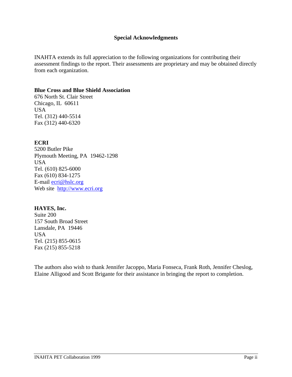#### **Special Acknowledgments**

INAHTA extends its full appreciation to the following organizations for contributing their assessment findings to the report. Their assessments are proprietary and may be obtained directly from each organization.

#### **Blue Cross and Blue Shield Association**

676 North St. Clair Street Chicago, IL 60611 USA Tel. (312) 440-5514 Fax (312) 440-6320

## **ECRI**

5200 Butler Pike Plymouth Meeting, PA 19462-1298 USA Tel. (610) 825-6000 Fax (610) 834-1275 E-mail ecri@hslc.org Web site http://www.ecri.org

#### **HAYES, Inc.**

Suite 200 157 South Broad Street Lansdale, PA 19446 USA Tel. (215) 855-0615 Fax (215) 855-5218

The authors also wish to thank Jennifer Jacoppo, Maria Fonseca, Frank Roth, Jennifer Cheslog, Elaine Alligood and Scott Brigante for their assistance in bringing the report to completion.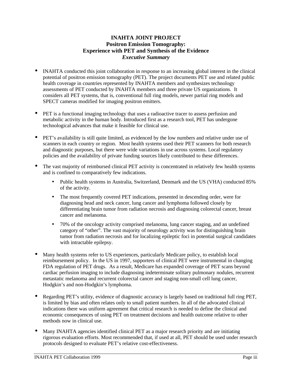## **INAHTA JOINT PROJECT Positron Emission Tomography: Experience with PET and Synthesis of the Evidence** *Executive Summary*

- INAHTA conducted this joint collaboration in response to an increasing global interest in the clinical potential of positron emission tomography (PET). The project documents PET use and related public health coverage in countries represented by INAHTA members and synthesizes technology assessments of PET conducted by INAHTA members and three private US organizations. It considers all PET systems, that is, conventional full ring models, newer partial ring models and SPECT cameras modified for imaging positron emitters.
- PET is a functional imaging technology that uses a radioactive tracer to assess perfusion and metabolic activity in the human body. Introduced first as a research tool, PET has undergone technological advances that make it feasible for clinical use.
- PET's availability is still quite limited, as evidenced by the low numbers and relative under use of scanners in each country or region. Most health systems used their PET scanners for both research and diagnostic purposes, but there were wide variations in use across systems. Local regulatory policies and the availability of private funding sources likely contributed to these differences.
- The vast majority of reimbursed clinical PET activity is concentrated in relatively few health systems and is confined to comparatively few indications.
	- Public health systems in Australia, Switzerland, Denmark and the US (VHA) conducted 85% of the activity.
	- The most frequently covered PET indications, presented in descending order, were for diagnosing head and neck cancer, lung cancer and lymphoma followed closely by differentiating brain tumor from radiation necrosis and diagnosing colorectal cancer, breast cancer and melanoma.
	- 70% of the oncology activity comprised melanoma, lung cancer staging, and an undefined category of "other". The vast majority of neurology activity was for distinguishing brain tumor from radiation necrosis and for localizing epileptic foci in potential surgical candidates with intractable epilepsy.
- Many health systems refer to US experiences, particularly Medicare policy, to establish local reimbursement policy. In the US in 1997, supporters of clinical PET were instrumental in changing FDA regulation of PET drugs. As a result, Medicare has expanded coverage of PET scans beyond cardiac perfusion imaging to include diagnosing indeterminate solitary pulmonary nodules, recurrent metastatic melanoma and recurrent colorectal cancer and staging non-small cell lung cancer, Hodgkin's and non-Hodgkin's lymphoma.
- Regarding PET's utility, evidence of diagnostic accuracy is largely based on traditional full ring PET, is limited by bias and often relates only to small patient numbers. In all of the advocated clinical indications there was uniform agreement that critical research is needed to define the clinical and economic consequences of using PET on treatment decisions and health outcome relative to other methods now in clinical use.
- Many INAHTA agencies identified clinical PET as a major research priority and are initiating rigorous evaluation efforts. Most recommended that, if used at all, PET should be used under research protocols designed to evaluate PET's relative cost-effectiveness.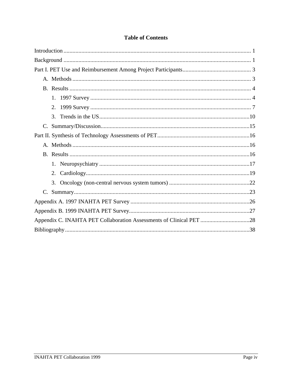## **Table of Contents**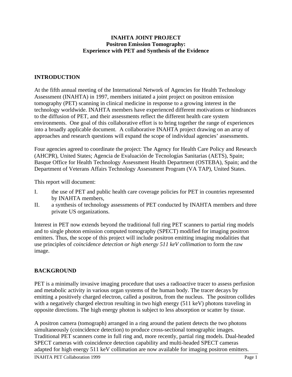## **INAHTA JOINT PROJECT Positron Emission Tomography: Experience with PET and Synthesis of the Evidence**

## **INTRODUCTION**

At the fifth annual meeting of the International Network of Agencies for Health Technology Assessment (INAHTA) in 1997, members initiated a joint project on positron emission tomography (PET) scanning in clinical medicine in response to a growing interest in the technology worldwide. INAHTA members have experienced different motivations or hindrances to the diffusion of PET, and their assessments reflect the different health care system environments. One goal of this collaborative effort is to bring together the range of experiences into a broadly applicable document. A collaborative INAHTA project drawing on an array of approaches and research questions will expand the scope of individual agencies' assessments.

Four agencies agreed to coordinate the project: The Agency for Health Care Policy and Research (AHCPR), United States; Agencia de Evaluación de Tecnologías Sanitarias (AETS), Spain; Basque Office for Health Technology Assessment Health Department (OSTEBA), Spain; and the Department of Veterans Affairs Technology Assessment Program (VA TAP), United States.

This report will document:

- I. the use of PET and public health care coverage policies for PET in countries represented by INAHTA members,
- II. a synthesis of technology assessments of PET conducted by INAHTA members and three private US organizations.

Interest in PET now extends beyond the traditional full ring PET scanners to partial ring models and to single photon emission computed tomography (SPECT) modified for imaging positron emitters. Thus, the scope of this project will include positron emitting imaging modalities that use principles of *coincidence detection or high energy 511 keV collimation* to form the raw image.

## **BACKGROUND**

PET is a minimally invasive imaging procedure that uses a radioactive tracer to assess perfusion and metabolic activity in various organ systems of the human body. The tracer decays by emitting a positively charged electron, called a positron, from the nucleus. The positron collides with a negatively charged electron resulting in two high energy (511 keV) photons traveling in opposite directions. The high energy photon is subject to less absorption or scatter by tissue.

A positron camera (tomograph) arranged in a ring around the patient detects the two photons simultaneously (coincidence detection) to produce cross-sectional tomographic images. Traditional PET scanners come in full ring and, more recently, partial ring models. Dual-headed SPECT cameras with coincidence detection capability and multi-headed SPECT cameras adapted for high energy 511 keV collimation are now available for imaging positron emitters.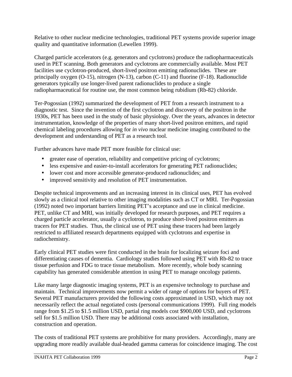Relative to other nuclear medicine technologies, traditional PET systems provide superior image quality and quantitative information (Lewellen 1999).

Charged particle accelerators (e.g. generators and cyclotrons) produce the radiopharmaceuticals used in PET scanning. Both generators and cyclotrons are commercially available. Most PET facilities use cyclotron-produced, short-lived positron emitting radionuclides. These are principally oxygen (O-15), nitrogen (N-13), carbon (C-11) and fluorine (F-18). Radionuclide generators typically use longer-lived parent radionuclides to produce a single radiopharmaceutical for routine use, the most common being rubidium (Rb-82) chloride.

Ter-Pogossian (1992) summarized the development of PET from a research instrument to a diagnostic test. Since the invention of the first cyclotron and discovery of the positron in the 1930s, PET has been used in the study of basic physiology. Over the years, advances in detector instrumentation, knowledge of the properties of many short-lived positron emitters, and rapid chemical labeling procedures allowing for *in vivo* nuclear medicine imaging contributed to the development and understanding of PET as a research tool.

Further advances have made PET more feasible for clinical use:

- greater ease of operation, reliability and competitive pricing of cyclotrons;
- less expensive and easier-to-install accelerators for generating PET radionuclides;
- lower cost and more accessible generator-produced radionuclides; and
- improved sensitivity and resolution of PET instrumentation.

Despite technical improvements and an increasing interest in its clinical uses, PET has evolved slowly as a clinical tool relative to other imaging modalities such as CT or MRI. Ter-Pogossian (1992) noted two important barriers limiting PET's acceptance and use in clinical medicine. PET, unlike CT and MRI, was initially developed for research purposes, and PET requires a charged particle accelerator, usually a cyclotron, to produce short-lived positron emitters as tracers for PET studies. Thus, the clinical use of PET using these tracers had been largely restricted to affiliated research departments equipped with cyclotrons and expertise in radiochemistry.

Early clinical PET studies were first conducted in the brain for localizing seizure foci and differentiating causes of dementia. Cardiology studies followed using PET with Rb-82 to trace tissue perfusion and FDG to trace tissue metabolism. More recently, whole body scanning capability has generated considerable attention in using PET to manage oncology patients.

Like many large diagnostic imaging systems, PET is an expensive technology to purchase and maintain. Technical improvements now permit a wider of range of options for buyers of PET. Several PET manufacturers provided the following costs approximated in USD, which may not necessarily reflect the actual negotiated costs (personal communications 1999). Full ring models range from \$1.25 to \$1.5 million USD, partial ring models cost \$900,000 USD, and cyclotrons sell for \$1.5 million USD. There may be additional costs associated with installation, construction and operation.

The costs of traditional PET systems are prohibitive for many providers. Accordingly, many are upgrading more readily available dual-headed gamma cameras for coincidence imaging. The cost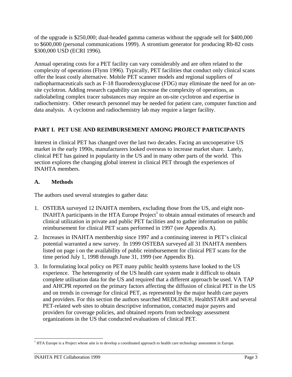of the upgrade is \$250,000; dual-headed gamma cameras without the upgrade sell for \$400,000 to \$600,000 (personal communications 1999). A strontium generator for producing Rb-82 costs \$300,000 USD (ECRI 1996).

Annual operating costs for a PET facility can vary considerably and are often related to the complexity of operations (Flynn 1996). Typically, PET facilities that conduct only clinical scans offer the least costly alternative. Mobile PET scanner models and regional suppliers of radiopharmaceuticals such as F-18 fluorodeoxyglucose (FDG) may eliminate the need for an onsite cyclotron. Adding research capability can increase the complexity of operations, as radiolabeling complex tracer substances may require an on-site cyclotron and expertise in radiochemistry. Other research personnel may be needed for patient care, computer function and data analysis. A cyclotron and radiochemistry lab may require a larger facility.

## **PART I. PET USE AND REIMBURSEMENT AMONG PROJECT PARTICIPANTS**

Interest in clinical PET has changed over the last two decades. Facing an uncooperative US market in the early 1990s, manufacturers looked overseas to increase market share. Lately, clinical PET has gained in popularity in the US and in many other parts of the world. This section explores the changing global interest in clinical PET through the experiences of INAHTA members.

## **A. Methods**

The authors used several strategies to gather data:

- 1. OSTEBA surveyed 12 INAHTA members, excluding those from the US, and eight non-INAHTA participants in the HTA Europe  $Project<sup>1</sup>$  to obtain annual estimates of research and clinical utilization in private and public PET facilities and to gather information on public reimbursement for clinical PET scans performed in 1997 (see Appendix A).
- 2. Increases in INAHTA membership since 1997 and a continuing interest in PET's clinical potential warranted a new survey. In 1999 OSTEBA surveyed all 31 INAHTA members listed on page i on the availability of public reimbursement for clinical PET scans for the time period July 1, 1998 through June 31, 1999 (see Appendix B).
- 3. In formulating local policy on PET many public health systems have looked to the US experience. The heterogeneity of the US health care system made it difficult to obtain complete utilisation data for the US and required that a different approach be used. VA TAP and AHCPR reported on the primary factors affecting the diffusion of clinical PET in the US and on trends in coverage for clinical PET, as represented by the major health care payers and providers. For this section the authors searched MEDLINE®, HealthSTAR® and several PET-related web sites to obtain descriptive information, contacted major payers and providers for coverage policies, and obtained reports from technology assessment organizations in the US that conducted evaluations of clinical PET.

<sup>-</sup><sup>1</sup> HTA Europe is a Project whose aim is to develop a coordinated approach to health care technology assessment in Europe.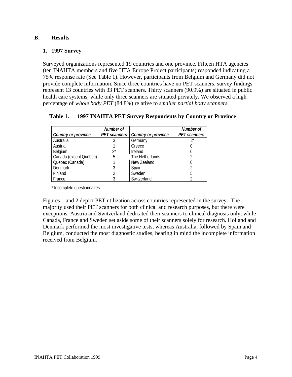## **B. Results**

#### **1. 1997 Survey**

Surveyed organizations represented 19 countries and one province. Fifteen HTA agencies (ten INAHTA members and five HTA Europe Project participants) responded indicating a 75% response rate (See Table 1). However, participants from Belgium and Germany did not provide complete information. Since three countries have no PET scanners, survey findings represent 13 countries with 33 PET scanners. Thirty scanners (90.9%) are situated in public health care systems, while only three scanners are situated privately. We observed a high percentage of *whole body PET* (84.8%) relative to *smaller partial body scanners.*

## **Table 1. 1997 INAHTA PET Survey Respondents by Country or Province**

|                        | Number of           |                            | Number of           |
|------------------------|---------------------|----------------------------|---------------------|
| Country or province    | <b>PET</b> scanners | <b>Country or province</b> | <b>PET</b> scanners |
| Australia              |                     | Germany                    | 7*                  |
| Austria                |                     | Greece                     |                     |
| Belgium                | $2^{*}$             | Ireland                    |                     |
| Canada (except Québec) | 5                   | The Netherlands            |                     |
| Québec (Canada)        |                     | New Zealand                |                     |
| Denmark                |                     | Spain                      |                     |
| Finland                |                     | Sweden                     | b                   |
| France                 |                     | Switzerland                |                     |

\* Incomplete questionnaires

Figures 1 and 2 depict PET utilization across countries represented in the survey. The majority used their PET scanners for both clinical and research purposes, but there were exceptions. Austria and Switzerland dedicated their scanners to clinical diagnosis only, while Canada, France and Sweden set aside some of their scanners solely for research. Holland and Denmark performed the most investigative tests, whereas Australia, followed by Spain and Belgium, conducted the most diagnostic studies, bearing in mind the incomplete information received from Belgium.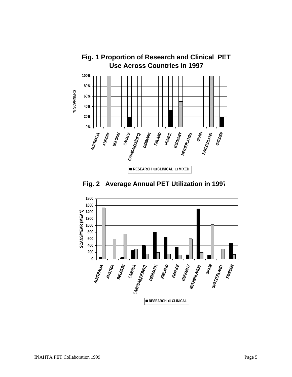



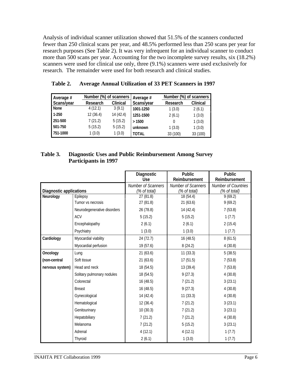Analysis of individual scanner utilization showed that 51.5% of the scanners conducted fewer than 250 clinical scans per year, and 48.5% performed less than 250 scans per year for research purposes (See Table 2). It was very infrequent for an individual scanner to conduct more than 500 scans per year. Accounting for the two incomplete survey results, six (18.2%) scanners were used for clinical use only, three (9.1%) scanners were used exclusively for research. The remainder were used for both research and clinical studies.

| Average #  | Number (%) of scanners |           | Average #    |          | Number (%) of scanners |  |  |  |
|------------|------------------------|-----------|--------------|----------|------------------------|--|--|--|
| Scans/year | Research               | Clinical  | Scans/year   | Research | Clinical               |  |  |  |
| None       | 4(12.1)                | 3(9.1)    | 1001-1250    | 1(3.0)   | 2(6.1)                 |  |  |  |
| 1-250      | 12(36.4)               | 14 (42.4) | 1251-1500    | 2(6.1)   | 1(3.0)                 |  |  |  |
| 251-500    | 7(21.2)                | 5(15.2)   | >1500        |          | 1(3.0)                 |  |  |  |
| 501-750    | 5(15.2)                | 5(15.2)   | unknown      | 1(3.0)   | 1(3.0)                 |  |  |  |
| 751-1000   | 1(3.0)                 | 1(3.0)    | <b>TOTAL</b> | 33 (100) | 33 (100)               |  |  |  |

## **Table 2. Average Annual Utilization of 33 PET Scanners in 1997**

## **Table 3. Diagnostic Uses and Public Reimbursement Among Survey Participants in 1997**

|                                             |                             | Diagnostic               | <b>Public</b>             | <b>Public</b>           |
|---------------------------------------------|-----------------------------|--------------------------|---------------------------|-------------------------|
|                                             |                             | <b>Use</b>               | Reimbursement             | Reimbursement           |
|                                             |                             | Number of Scanners       | Number of Scanners        | Number of Countries     |
| <b>Diagnostic applications</b><br>Neurology | Epilepsy                    | (% of total)<br>27(81.8) | (% of total)<br>18 (54.4) | (% of total)<br>9(69.2) |
|                                             | Tumor vs necrosis           | 27 (81.8)                | 21(63.6)                  | 9(69.2)                 |
|                                             |                             |                          |                           |                         |
|                                             | Neurodegenerative disorders | 26 (78.8)                | 14 (42.4)                 | 7(53.8)                 |
|                                             | <b>ACV</b>                  | 5(15.2)                  | 5(15.2)                   | 1(7.7)                  |
|                                             | Encephalopathy              | 2(6.1)                   | 2(6.1)                    | 2(15.4)                 |
|                                             | Psychiatry                  | 1(3.0)                   | 1(3.0)                    | 1(7.7)                  |
| Cardiology                                  | Myocardial viability        | 24 (72.7)                | 16 (48.5)                 | 8(61.5)                 |
|                                             | Myocardial perfusion        | 19 (57.6)                | 8(24.2)                   | 4(30.8)                 |
| Oncology                                    | Lung                        | 21(63.6)                 | 11(33.3)                  | 5(38.5)                 |
| (non-central                                | Soft tissue                 | 21(63.6)                 | 17(51.5)                  | 7(53.8)                 |
| nervous system)                             | Head and neck               | 18 (54.5)                | 13 (39.4)                 | 7(53.8)                 |
|                                             | Solitary pulmonary nodules  | 18 (54.5)                | 9(27.3)                   | 4(30.8)                 |
|                                             | Colorectal                  | 16 (48.5)                | 7(21.2)                   | 3(23.1)                 |
|                                             | <b>Breast</b>               | 16(48.5)                 | 9(27.3)                   | 4(30.8)                 |
|                                             | Gynecological               | 14 (42.4)                | 11(33.3)                  | 4(30.8)                 |
|                                             | Hematological               | 12(36.4)                 | 7(21.2)                   | 3(23.1)                 |
|                                             | Genitourinary               | 10(30.3)                 | 7(21.2)                   | 3(23.1)                 |
|                                             | Hepatobiliary               | 7(21.2)                  | 7(21.2)                   | 4(30.8)                 |
|                                             | Melanoma                    | 7(21.2)                  | 5(15.2)                   | 3(23.1)                 |
|                                             | Adrenal                     | 4(12.1)                  | 4(12.1)                   | 1(7.7)                  |
|                                             | Thyroid                     | 2(6.1)                   | 1(3.0)                    | 1(7.7)                  |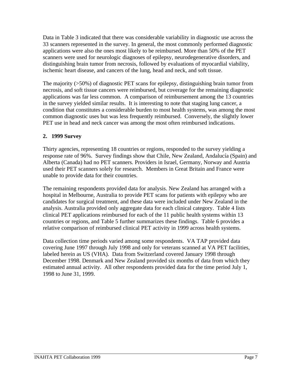Data in Table 3 indicated that there was considerable variability in diagnostic use across the 33 scanners represented in the survey. In general, the most commonly performed diagnostic applications were also the ones most likely to be reimbursed. More than 50% of the PET scanners were used for neurologic diagnoses of epilepsy, neurodegenerative disorders, and distinguishing brain tumor from necrosis, followed by evaluations of myocardial viability, ischemic heart disease, and cancers of the lung, head and neck, and soft tissue.

The majority (>50%) of diagnostic PET scans for epilepsy, distinguishing brain tumor from necrosis, and soft tissue cancers were reimbursed, but coverage for the remaining diagnostic applications was far less common. A comparison of reimbursement among the 13 countries in the survey yielded similar results. It is interesting to note that staging lung cancer, a condition that constitutes a considerable burden to most health systems, was among the most common diagnostic uses but was less frequently reimbursed. Conversely, the slightly lower PET use in head and neck cancer was among the most often reimbursed indications.

## **2. 1999 Survey**

Thirty agencies, representing 18 countries or regions, responded to the survey yielding a response rate of 96%. Survey findings show that Chile, New Zealand, Andalucía (Spain) and Alberta (Canada) had no PET scanners. Providers in Israel, Germany, Norway and Austria used their PET scanners solely for research. Members in Great Britain and France were unable to provide data for their countries.

The remaining respondents provided data for analysis. New Zealand has arranged with a hospital in Melbourne, Australia to provide PET scans for patients with epilepsy who are candidates for surgical treatment, and these data were included under New Zealand in the analysis. Australia provided only aggregate data for each clinical category. Table 4 lists clinical PET applications reimbursed for each of the 11 public health systems within 13 countries or regions, and Table 5 further summarizes these findings. Table 6 provides a relative comparison of reimbursed clinical PET activity in 1999 across health systems.

Data collection time periods varied among some respondents. VA TAP provided data covering June 1997 through July 1998 and only for veterans scanned at VA PET facilities, labeled herein as US (VHA). Data from Switzerland covered January 1998 through December 1998. Denmark and New Zealand provided six months of data from which they estimated annual activity. All other respondents provided data for the time period July 1, 1998 to June 31, 1999.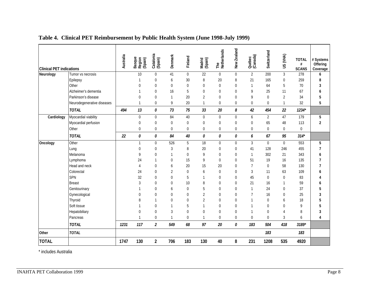| <b>Clinical PET indications</b> |                            | Australia | Basque<br>Region<br>(Spain) | Catalonia<br>(Spain)    | Denmark        | Finland          | Madrid<br>(Spain) | The<br>Netherlands | New Zealand    | Québec<br>(Canada) | Switzerland    | US (VHA)       | <b>TOTAL</b><br>#<br><b>SCANS</b> | # Systems<br>Offering<br>Coverage |
|---------------------------------|----------------------------|-----------|-----------------------------|-------------------------|----------------|------------------|-------------------|--------------------|----------------|--------------------|----------------|----------------|-----------------------------------|-----------------------------------|
| Neurology                       | Tumor vs necrosis          |           | 10                          | $\boldsymbol{0}$        | 41             | $\boldsymbol{0}$ | $\overline{22}$   | $\mathbf 0$        | $\Omega$       | $\overline{2}$     | 200            | $\mathfrak{Z}$ | 278                               | 6                                 |
|                                 | Epilepsy                   |           | 1                           | $\mathbf 0$             | 6              | 30               | 8                 | 20                 | 8              | 21                 | 165            | $\overline{0}$ | 259                               | 8                                 |
|                                 | Other                      |           | $\Omega$                    | $\mathbf 0$             | $\overline{0}$ | $\overline{0}$   | $\Omega$          | $\Omega$           | $\Omega$       | 1                  | 64             | 5              | 70                                | 3                                 |
|                                 | Alzheimer's dementia       |           | $\mathbf{1}$                | $\mathbf 0$             | 16             | 5                | 0                 | $\overline{0}$     | $\Omega$       | 9                  | 25             | 11             | 67                                | 6                                 |
|                                 | Parkinson's disease        |           | $\overline{0}$              | $\boldsymbol{0}$        | 1              | 20               | $\overline{2}$    | $\mathbf{0}$       | $\Omega$       | 9                  | $\Omega$       | $\overline{2}$ | 34                                | 5                                 |
|                                 | Neurodegenerative diseases |           | $\mathbf{1}$                | $\mathbf 0$             | 9              | 20               | $\mathbf{1}$      | $\overline{0}$     | $\mathbf 0$    | 0                  | 0              | $\mathbf{1}$   | 32                                | 5                                 |
|                                 | <b>TOTAL</b>               | 494       | 13                          | 0                       | 73             | 75               | 33                | 20                 | 8              | 42                 | 454            | 22             | $1234*$                           |                                   |
| Cardiology                      | Myocardial viability       |           | $\boldsymbol{0}$            | $\mathbf 0$             | 84             | 40               | 0                 | $\boldsymbol{0}$   | $\mathbf 0$    | 6                  | $\overline{2}$ | 47             | 179                               | 5                                 |
|                                 | Myocardial perfusion       |           | $\mathbf 0$                 | $\mathbf 0$             | $\mathbf 0$    | $\mathbf 0$      | 0                 | $\mathbf{0}$       | $\mathbf 0$    | 0                  | 65             | 48             | 113                               | $\overline{2}$                    |
|                                 | Other                      |           | $\mathbf{0}$                | $\mathbf 0$             | $\overline{0}$ | $\overline{0}$   | $\overline{0}$    | $\overline{0}$     | $\Omega$       | $\Omega$           | $\mathbf 0$    | $\overline{0}$ | $\mathbf 0$                       |                                   |
|                                 | <b>TOTAL</b>               | 22        | 0                           | 0                       | 84             | 40               | 0                 | 0                  | 0              | 6                  | 67             | 95             | $314*$                            |                                   |
| Oncology                        | Other                      |           | $\mathbf{1}$                | $\boldsymbol{0}$        | 526            | 5                | 18                | $\mathbf 0$        | $\mathbf 0$    | 3                  | $\overline{0}$ | $\overline{0}$ | 553                               | 5                                 |
|                                 | Lung                       |           | $\overline{0}$              | $\boldsymbol{0}$        | 3              | 8                | 20                | $\mathbf{0}$       | $\Omega$       | 41                 | 128            | 246            | 455                               | 7                                 |
|                                 | Melanoma                   |           | 9                           | $\overline{0}$          | 1              | $\overline{0}$   | 9                 | $\Omega$           | $\Omega$       | $\mathbf{1}$       | 302            | 21             | 343                               | h                                 |
|                                 | Lymphoma                   |           | 24                          | 1                       | $\mathbf 0$    | 15               | 9                 | $\mathbf{0}$       | $\Omega$       | 51                 | 19             | 16             | 135                               | 7                                 |
|                                 | Head and neck              |           | $\overline{4}$              | 0                       | 6              | 20               | 15                | 20                 | $\Omega$       | $\overline{7}$     | $\mathbf 0$    | 58             | 130                               | 7                                 |
|                                 | Colorectal                 |           | 24                          | 0                       | $\overline{2}$ | $\mathbf 0$      | 6                 | $\Omega$           | $\Omega$       | 3                  | 11             | 63             | 109                               |                                   |
|                                 | SPN                        |           | 32                          | 0                       | $\overline{0}$ | 5                | $\mathbf{1}$      | $\Omega$           | $\Omega$       | 45                 | $\Omega$       | $\Omega$       | 83                                |                                   |
|                                 | <b>Breast</b>              |           | 3                           | 0                       | $\mathbf 0$    | 10               | 8                 | $\mathbf{0}$       | $\Omega$       | 21                 | 16             | 1              | 59                                |                                   |
|                                 | Genitourinary              |           | $\mathbf{1}$                | 0                       | 6              | $\mathbf 0$      | 5                 | $\Omega$           | $\Omega$       | 1                  | 24             | $\Omega$       | 37                                | 5                                 |
|                                 | Gynecological              |           | $\Omega$                    | $\overline{0}$          | $\Omega$       | $\overline{0}$   | $\overline{2}$    | $\Omega$           | 0              |                    | 16             | $\Omega$       | 25                                |                                   |
|                                 | Thyroid                    |           | 8                           | 1                       | $\Omega$       | $\overline{0}$   | $\overline{2}$    | $\Omega$           | $\Omega$       |                    | $\Omega$       | 6              | 18                                | 5                                 |
|                                 | Soft tissue                |           | 1                           | 0                       | 1              | 5                | $\mathbf{1}$      | $\Omega$           | $\Omega$       | 1                  | $\Omega$       | $\mathbf 0$    | 9                                 | 5                                 |
|                                 | Hepatobiliary              |           | $\overline{0}$              | $\mathbf 0$             | 3              | $\overline{0}$   | $\overline{0}$    | $\Omega$           | $\Omega$       | 1                  | $\Omega$       | 4              | 8                                 | 3                                 |
|                                 | Pancreas                   |           | $\mathbf{1}$                | $\mathbf 0$             | $\mathbf{1}$   | $\mathbf 0$      | $\mathbf{1}$      | $\overline{0}$     | $\overline{0}$ | $\Omega$           | 0              | 3              | 6                                 | 4                                 |
|                                 | <b>TOTAL</b>               | 1231      | 117                         | $\overline{\mathbf{c}}$ | 549            | 68               | 97                | 20                 | 0              | 183                | 504            | 418            | 3189*                             |                                   |
| Other                           | <b>TOTAL</b>               |           |                             |                         |                |                  |                   |                    |                |                    | 183            |                | 183                               |                                   |
| <b>TOTAL</b>                    |                            | 1747      | 130                         | $\overline{2}$          | 706            | 183              | 130               | 40                 | 8              | 231                | 1208           | 535            | 4920                              |                                   |

**Table 4. Clinical PET Reimbursement by Public Health System (June 1998-July 1999)**

\* includes Australia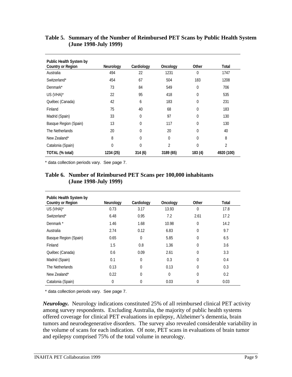| Public Health System by<br><b>Country or Region</b> | <b>Neurology</b> | Cardiology   | Oncology       | Other          | <b>Total</b> |
|-----------------------------------------------------|------------------|--------------|----------------|----------------|--------------|
| Australia                                           | 494              | 22           | 1231           | $\Omega$       | 1747         |
| Switzerland*                                        | 454              | 67           | 504            | 183            | 1208         |
| Denmark*                                            | 73               | 84           | 549            | $\theta$       | 706          |
| US (VHA)*                                           | 22               | 95           | 418            | 0              | 535          |
| Québec (Canada)                                     | 42               | 6            | 183            | 0              | 231          |
| Finland                                             | 75               | 40           | 68             | 0              | 183          |
| Madrid (Spain)                                      | 33               | $\theta$     | 97             | $\Omega$       | 130          |
| Basque Region (Spain)                               | 13               | 0            | 117            | $\Omega$       | 130          |
| The Netherlands                                     | 20               | $\mathbf{0}$ | 20             | $\overline{0}$ | 40           |
| New Zealand*                                        | 8                | $\theta$     | $\Omega$       | $\Omega$       | 8            |
| Catalonia (Spain)                                   | $\Omega$         | $\Omega$     | $\overline{2}$ | $\Omega$       | 2            |
| TOTAL (% total)                                     | 1234 (25)        | 314(6)       | 3189 (65)      | 183(4)         | 4920 (100)   |

#### **Table 5. Summary of the Number of Reimbursed PET Scans by Public Health System (June 1998-July 1999)**

\* data collection periods vary. See page 7.

#### **Table 6. Number of Reimbursed PET Scans per 100,000 inhabitants (June 1998-July 1999)**

| Public Health System by<br><b>Country or Region</b> | Neurology | Cardiology  | Oncology | Other       | Total |
|-----------------------------------------------------|-----------|-------------|----------|-------------|-------|
| US (VHA)*                                           | 0.73      | 3.17        | 13.93    | $\mathbf 0$ | 17.8  |
| Switzerland*                                        | 6.48      | 0.95        | 7.2      | 2.61        | 17.2  |
| Denmark *                                           | 1.46      | 1.68        | 10.98    | $\Omega$    | 14.2  |
| Australia                                           | 2.74      | 0.12        | 6.83     | 0           | 9.7   |
| Basque Region (Spain)                               | 0.65      | $\Omega$    | 5.85     | 0           | 6.5   |
| Finland                                             | 1.5       | 0.8         | 1.36     | 0           | 3.6   |
| Québec (Canada)                                     | 0.6       | 0.09        | 2.61     | $\mathbf 0$ | 3.3   |
| Madrid (Spain)                                      | 0.1       | $\mathbf 0$ | 0.3      | $\mathbf 0$ | 0.4   |
| The Netherlands                                     | 0.13      | $\Omega$    | 0.13     | $\mathbf 0$ | 0.3   |
| New Zealand*                                        | 0.22      | $\Omega$    | $\Omega$ | $\Omega$    | 0.2   |
| Catalonia (Spain)                                   | 0         | $\Omega$    | 0.03     | 0           | 0.03  |

\* data collection periods vary. See page 7.

*Neurology.* Neurology indications constituted 25% of all reimbursed clinical PET activity among survey respondents. Excluding Australia, the majority of public health systems offered coverage for clinical PET evaluations in epilepsy, Alzheimer's dementia, brain tumors and neurodegenerative disorders. The survey also revealed considerable variability in the volume of scans for each indication. Of note, PET scans in evaluations of brain tumor and epilepsy comprised 75% of the total volume in neurology.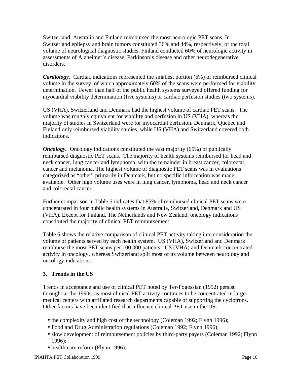Switzerland, Australia and Finland reimbursed the most neurologic PET scans. In Switzerland epilepsy and brain tumors constituted 36% and 44%, respectively, of the total volume of neurological diagnostic studies. Finland conducted 60% of neurologic activity in assessments of Alzheimer's disease, Parkinson's disease and other neurodegenerative disorders.

*Cardiology.* Cardiac indications represented the smallest portion (6%) of reimbursed clinical volume in the survey, of which approximately 60% of the scans were performed for viability determination. Fewer than half of the public health systems surveyed offered funding for myocardial viability determination (five systems) or cardiac perfusion studies (two systems).

US (VHA), Switzerland and Denmark had the highest volume of cardiac PET scans. The volume was roughly equivalent for viability and perfusion in US (VHA), whereas the majority of studies in Switzerland were for myocardial perfusion. Denmark, Quebec and Finland only reimbursed viability studies, while US (VHA) and Switzerland covered both indications.

*Oncology.* Oncology indications constituted the vast majority (65%) of publically reimbursed diagnostic PET scans. The majority of health systems reimbursed for head and neck cancer, lung cancer and lymphoma, with the remainder in breast cancer, colorectal cancer and melanoma. The highest volume of diagnostic PET scans was in evaluations categorized as "other" primarily in Denmark, but no specific information was made available. Other high volume uses were in lung cancer, lymphoma, head and neck cancer and colorectal cancer.

Further comparison in Table 5 indicates that 85% of reimbursed clinical PET scans were concentrated in four public health systems in Australia, Switzerland, Denmark and US (VHA). Except for Finland, The Netherlands and New Zealand, oncology indications constituted the majority of clinical PET reimbursement.

Table 6 shows the relative comparison of clinical PET activity taking into consideration the volume of patients served by each health system. US (VHA), Switzerland and Denmark reimburse the most PET scans per 100,000 patients. US (VHA) and Denmark concentrated activity in oncology, whereas Switzerland split most of its volume between neurology and oncology indications.

## **3. Trends in the US**

Trends in acceptance and use of clinical PET noted by Ter-Pogossian (1992) persist throughout the 1990s, as most clinical PET activity continues to be concentrated in larger medical centers with affiliated research departments capable of supporting the cyclotrons. Other factors have been identified that influence clinical PET use in the US:

- the complexity and high cost of the technology (Coleman 1992; Flynn 1996);
- Food and Drug Administration regulations (Coleman 1992; Flynn 1996);
- slow development of reimbursement policies by third-party payers (Coleman 1992; Flynn 1996);
- health care reform (Flynn 1996);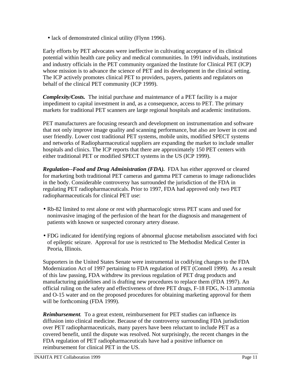• lack of demonstrated clinical utility (Flynn 1996).

Early efforts by PET advocates were ineffective in cultivating acceptance of its clinical potential within health care policy and medical communities. In 1991 individuals, institutions and industry officials in the PET community organized the Institute for Clinical PET (ICP) whose mission is to advance the science of PET and its development in the clinical setting. The ICP actively promotes clinical PET to providers, payers, patients and regulators on behalf of the clinical PET community (ICP 1999).

*Complexity/Costs.* The initial purchase and maintenance of a PET facility is a major impediment to capital investment in and, as a consequence, access to PET. The primary markets for traditional PET scanners are large regional hospitals and academic institutions.

PET manufacturers are focusing research and development on instrumentation and software that not only improve image quality and scanning performance, but also are lower in cost and user friendly. Lower cost traditional PET systems, mobile units, modified SPECT systems and networks of Radiopharmaceutical suppliers are expanding the market to include smaller hospitals and clinics. The ICP reports that there are approximately 150 PET centers with either traditional PET or modified SPECT systems in the US (ICP 1999).

*Regulation--Food and Drug Administration (FDA).* FDA has either approved or cleared for marketing both traditional PET cameras and gamma PET cameras to image radionuclides in the body. Considerable controversy has surrounded the jurisdiction of the FDA in regulating PET radiopharmaceuticals. Prior to 1997, FDA had approved only two PET radiopharmaceuticals for clinical PET use:

- Rb-82 limited to rest alone or rest with pharmacologic stress PET scans and used for noninvasive imaging of the perfusion of the heart for the diagnosis and management of patients with known or suspected coronary artery disease.
- FDG indicated for identifying regions of abnormal glucose metabolism associated with foci of epileptic seizure. Approval for use is restricted to The Methodist Medical Center in Peoria, Illinois.

Supporters in the United States Senate were instrumental in codifying changes to the FDA Modernization Act of 1997 pertaining to FDA regulation of PET (Connell 1999). As a result of this law passing, FDA withdrew its previous regulation of PET drug products and manufacturing guidelines and is drafting new procedures to replace them (FDA 1997). An official ruling on the safety and effectiveness of three PET drugs, F-18 FDG, N-13 ammonia and O-15 water and on the proposed procedures for obtaining marketing approval for them will be forthcoming (FDA 1999).

*Reimbursement.* To a great extent, reimbursement for PET studies can influence its diffusion into clinical medicine. Because of the controversy surrounding FDA jurisdiction over PET radiopharmaceuticals, many payers have been reluctant to include PET as a covered benefit, until the dispute was resolved. Not surprisingly, the recent changes in the FDA regulation of PET radiopharmaceuticals have had a positive influence on reimbursement for clinical PET in the US.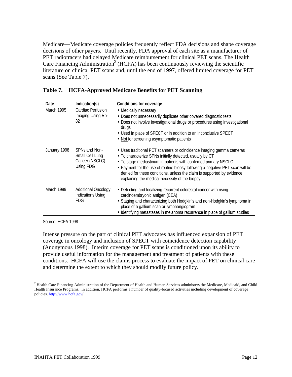Medicare—Medicare coverage policies frequently reflect FDA decisions and shape coverage decisions of other payers. Until recently, FDA approval of each site as a manufacturer of PET radiotracers had delayed Medicare reimbursement for clinical PET scans. The Health Care Financing Administration<sup>2</sup> (HCFA) has been continuously reviewing the scientific literature on clinical PET scans and, until the end of 1997, offered limited coverage for PET scans (See Table 7).

| Date         | Indication(s)                                                        | <b>Conditions for coverage</b>                                                                                                                                                                                                                                                                                                                                                                                   |
|--------------|----------------------------------------------------------------------|------------------------------------------------------------------------------------------------------------------------------------------------------------------------------------------------------------------------------------------------------------------------------------------------------------------------------------------------------------------------------------------------------------------|
| March 1995   | Cardiac Perfusion<br>Imaging Using Rb-<br>82                         | • Medically necessary<br>• Does not unnecessarily duplicate other covered diagnostic tests<br>• Does not involve investigational drugs or procedures using investigational<br>drugs<br>• Used in place of SPECT or in addition to an inconclusive SPECT<br>• Not for screening asymptomatic patients                                                                                                             |
| January 1998 | SPNs and Non-<br>Small Cell Lung<br>Cancer (NSCLC)<br>Using FDG      | • Uses traditional PET scanners or coincidence imaging gamma cameras<br>• To characterize SPNs initially detected, usually by CT<br>• To stage mediastinum in patients with confirmed primary NSCLC<br>• Payment for the use of routine biopsy following a negative PET scan will be<br>denied for these conditions, unless the claim is supported by evidence<br>explaining the medical necessity of the biopsy |
| March 1999   | <b>Additional Oncology</b><br><b>Indications Using</b><br><b>FDG</b> | • Detecting and localizing recurrent colorectal cancer with rising<br>carcinoembryonic antigen (CEA)<br>• Staging and characterizing both Hodgkin's and non-Hodgkin's lymphoma in<br>place of a gallium scan or lymphangiogram<br>• Identifying metastases in melanoma recurrence in place of gallium studies                                                                                                    |

|  | Table 7. HCFA-Approved Medicare Benefits for PET Scanning |  |  |  |  |  |
|--|-----------------------------------------------------------|--|--|--|--|--|
|--|-----------------------------------------------------------|--|--|--|--|--|

Source: HCFA 1998

Intense pressure on the part of clinical PET advocates has influenced expansion of PET coverage in oncology and inclusion of SPECT with coincidence detection capability (Anonymous 1998). Interim coverage for PET scans is conditioned upon its ability to provide useful information for the management and treatment of patients with these conditions. HCFA will use the claims process to evaluate the impact of PET on clinical care and determine the extent to which they should modify future policy.

 $\overline{a}$ <sup>2</sup> Health Care Financing Administration of the Department of Health and Human Services administers the Medicare, Medicaid, and Child Health Insurance Programs. In addition, HCFA performs a number of quality-focused activities including development of coverage policies. http://www.hcfa.gov/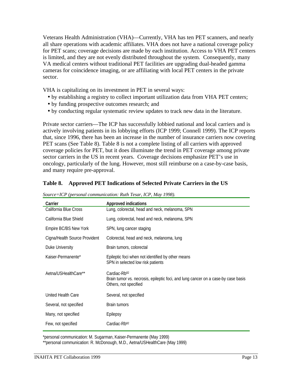Veterans Health Administration (VHA)—Currently, VHA has ten PET scanners, and nearly all share operations with academic affiliates. VHA does not have a national coverage policy for PET scans; coverage decisions are made by each institution. Access to VHA PET centers is limited, and they are not evenly distributed throughout the system. Consequently, many VA medical centers without traditional PET facilities are upgrading dual-headed gamma cameras for coincidence imaging, or are affiliating with local PET centers in the private sector.

VHA is capitalizing on its investment in PET in several ways:

- by establishing a registry to collect important utilization data from VHA PET centers;
- by funding prospective outcomes research; and
- by conducting regular systematic review updates to track new data in the literature.

Private sector carriers—The ICP has successfully lobbied national and local carriers and is actively involving patients in its lobbying efforts (ICP 1999; Connell 1999). The ICP reports that, since 1996, there has been an increase in the number of insurance carriers now covering PET scans (See Table 8). Table 8 is not a complete listing of all carriers with approved coverage policies for PET, but it does illuminate the trend in PET coverage among private sector carriers in the US in recent years. Coverage decisions emphasize PET's use in oncology, particularly of the lung. However, most still reimburse on a case-by-case basis, and many require pre-approval.

|  | Table 8. Approved PET Indications of Selected Private Carriers in the US |  |  |  |  |  |  |
|--|--------------------------------------------------------------------------|--|--|--|--|--|--|
|--|--------------------------------------------------------------------------|--|--|--|--|--|--|

| Carrier                       | <b>Approved indications</b>                                                                                                            |
|-------------------------------|----------------------------------------------------------------------------------------------------------------------------------------|
| California Blue Cross         | Lung, colorectal, head and neck, melanoma, SPN                                                                                         |
| California Blue Shield        | Lung, colorectal, head and neck, melanoma, SPN                                                                                         |
| Empire BC/BS New York         | SPN, lung cancer staging                                                                                                               |
| Cigna/Health Source Provident | Colorectal, head and neck, melanoma, lung                                                                                              |
| Duke University               | Brain tumors, colorectal                                                                                                               |
| Kaiser-Permanente*            | Epileptic foci when not identified by other means<br>SPN in selected low risk patients                                                 |
| Aetna/USHealthCare**          | Cardiac-Rb <sup>82</sup><br>Brain tumor vs. necrosis, epileptic foci, and lung cancer on a case-by case basis<br>Others, not specified |
| United Health Care            | Several, not specified                                                                                                                 |
| Several, not specified        | <b>Brain tumors</b>                                                                                                                    |
| Many, not specified           | Epilepsy                                                                                                                               |
| Few, not specified            | Cardiac-Rb <sup>82</sup>                                                                                                               |

*Source=ICP (personal communication: Ruth Tesar, ICP, May 1998).*

\*personal communication: M. Sugarman, Kaiser-Permanente (May 1999)

\*\*personal communication: R. McDonough, M.D., Aetna/USHealthCare (May 1999)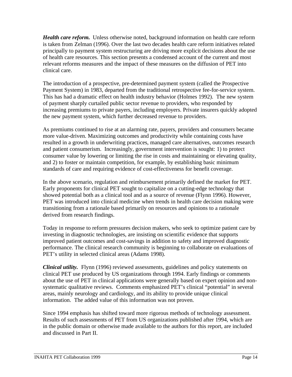*Health care reform.* Unless otherwise noted, background information on health care reform is taken from Zelman (1996). Over the last two decades health care reform initiatives related principally to payment system restructuring are driving more explicit decisions about the use of health care resources. This section presents a condensed account of the current and most relevant reforms measures and the impact of these measures on the diffusion of PET into clinical care.

The introduction of a prospective, pre-determined payment system (called the Prospective Payment System) in 1983, departed from the traditional retrospective fee-for-service system. This has had a dramatic effect on health industry behavior (Holmes 1992). The new system of payment sharply curtailed public sector revenue to providers, who responded by increasing premiums to private payers, including employers. Private insurers quickly adopted the new payment system, which further decreased revenue to providers.

As premiums continued to rise at an alarming rate, payers, providers and consumers became more value-driven. Maximizing outcomes and productivity while containing costs have resulted in a growth in underwriting practices, managed care alternatives, outcomes research and patient consumerism. Increasingly, government intervention is sought: 1) to protect consumer value by lowering or limiting the rise in costs and maintaining or elevating quality, and 2) to foster or maintain competition, for example, by establishing basic minimum standards of care and requiring evidence of cost-effectiveness for benefit coverage.

In the above scenario, regulation and reimbursement primarily defined the market for PET. Early proponents for clinical PET sought to capitalize on a cutting-edge technology that showed potential both as a clinical tool and as a source of revenue (Flynn 1996). However, PET was introduced into clinical medicine when trends in health care decision making were transitioning from a rationale based primarily on resources and opinions to a rationale derived from research findings.

Today in response to reform pressures decision makers, who seek to optimize patient care by investing in diagnostic technologies, are insisting on scientific evidence that supports improved patient outcomes and cost-savings in addition to safety and improved diagnostic performance. The clinical research community is beginning to collaborate on evaluations of PET's utility in selected clinical areas (Adams 1998).

*Clinical utility.* Flynn (1996) reviewed assessments, guidelines and policy statements on clinical PET use produced by US organizations through 1994. Early findings or comments about the use of PET in clinical applications were generally based on expert opinion and nonsystematic qualitative reviews. Comments emphasized PET's clinical "potential" in several areas, mainly neurology and cardiology, and its ability to provide unique clinical information. The added value of this information was not proven.

Since 1994 emphasis has shifted toward more rigorous methods of technology assessment. Results of such assessments of PET from US organizations published after 1994, which are in the public domain or otherwise made available to the authors for this report, are included and discussed in Part II.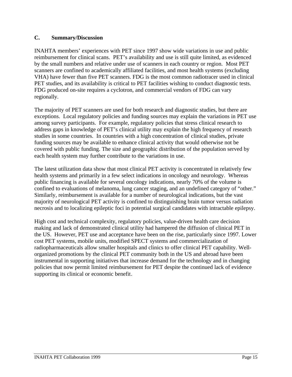## **C. Summary/Discussion**

INAHTA members' experiences with PET since 1997 show wide variations in use and public reimbursement for clinical scans. PET's availability and use is still quite limited, as evidenced by the small numbers and relative under use of scanners in each country or region. Most PET scanners are confined to academically affiliated facilities, and most health systems (excluding VHA) have fewer than five PET scanners. FDG is the most common radiotracer used in clinical PET studies, and its availability is critical to PET facilities wishing to conduct diagnostic tests. FDG produced on-site requires a cyclotron, and commercial vendors of FDG can vary regionally.

The majority of PET scanners are used for both research and diagnostic studies, but there are exceptions. Local regulatory policies and funding sources may explain the variations in PET use among survey participants. For example, regulatory policies that stress clinical research to address gaps in knowledge of PET's clinical utility may explain the high frequency of research studies in some countries. In countries with a high concentration of clinical studies, private funding sources may be available to enhance clinical activity that would otherwise not be covered with public funding. The size and geographic distribution of the population served by each health system may further contribute to the variations in use.

The latest utilization data show that most clinical PET activity is concentrated in relatively few health systems and primarily in a few select indications in oncology and neurology. Whereas public financing is available for several oncology indications, nearly 70% of the volume is confined to evaluations of melanoma, lung cancer staging, and an undefined category of "other." Similarly, reimbursement is available for a number of neurological indications, but the vast majority of neurological PET activity is confined to distinguishing brain tumor versus radiation necrosis and to localizing epileptic foci in potential surgical candidates with intractable epilepsy.

High cost and technical complexity, regulatory policies, value-driven health care decision making and lack of demonstrated clinical utility had hampered the diffusion of clinical PET in the US. However, PET use and acceptance have been on the rise, particularly since 1997. Lower cost PET systems, mobile units, modified SPECT systems and commercialization of radiopharmaceuticals allow smaller hospitals and clinics to offer clinical PET capability. Wellorganized promotions by the clinical PET community both in the US and abroad have been instrumental in supporting initiatives that increase demand for the technology and in changing policies that now permit limited reimbursement for PET despite the continued lack of evidence supporting its clinical or economic benefit.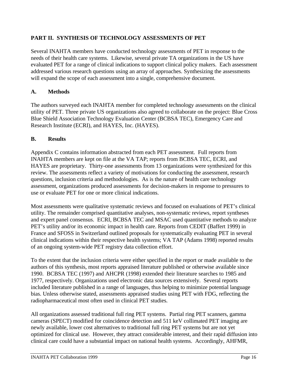## **PART II. SYNTHESIS OF TECHNOLOGY ASSESSMENTS OF PET**

Several INAHTA members have conducted technology assessments of PET in response to the needs of their health care systems. Likewise, several private TA organizations in the US have evaluated PET for a range of clinical indications to support clinical policy makers. Each assessment addressed various research questions using an array of approaches. Synthesizing the assessments will expand the scope of each assessment into a single, comprehensive document.

## **A. Methods**

The authors surveyed each INAHTA member for completed technology assessments on the clinical utility of PET. Three private US organizations also agreed to collaborate on the project: Blue Cross Blue Shield Association Technology Evaluation Center (BCBSA TEC), Emergency Care and Research Institute (ECRI), and HAYES, Inc. (HAYES).

## **B. Results**

Appendix C contains information abstracted from each PET assessment. Full reports from INAHTA members are kept on file at the VA TAP; reports from BCBSA TEC, ECRI, and HAYES are proprietary. Thirty-one assessments from 13 organizations were synthesized for this review. The assessments reflect a variety of motivations for conducting the assessment, research questions, inclusion criteria and methodologies. As is the nature of health care technology assessment, organizations produced assessments for decision-makers in response to pressures to use or evaluate PET for one or more clinical indications.

Most assessments were qualitative systematic reviews and focused on evaluations of PET's clinical utility. The remainder comprised quantitative analyses, non-systematic reviews, report syntheses and expert panel consensus. ECRI, BCBSA TEC and MSAC used quantitative methods to analyze PET's utility and/or its economic impact in health care. Reports from CEDIT (Baffert 1999) in France and SFOSS in Switzerland outlined proposals for systematically evaluating PET in several clinical indications within their respective health systems; VA TAP (Adams 1998) reported results of an ongoing system-wide PET registry data collection effort.

To the extent that the inclusion criteria were either specified in the report or made available to the authors of this synthesis, most reports appraised literature published or otherwise available since 1990. BCBSA TEC (1997) and AHCPR (1998) extended their literature searches to 1985 and 1977, respectively. Organizations used electronic data sources extensively. Several reports included literature published in a range of languages, thus helping to minimize potential language bias. Unless otherwise stated, assessments appraised studies using PET with FDG, reflecting the radiopharmaceutical most often used in clinical PET studies.

All organizations assessed traditional full ring PET systems. Partial ring PET scanners, gamma cameras (SPECT) modified for coincidence detection and 511 keV collimated PET imaging are newly available, lower cost alternatives to traditional full ring PET systems but are not yet optimized for clinical use. However, they attract considerable interest, and their rapid diffusion into clinical care could have a substantial impact on national health systems. Accordingly, AHFMR,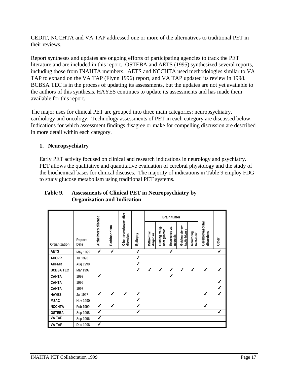CEDIT, NCCHTA and VA TAP addressed one or more of the alternatives to traditional PET in their reviews.

Report syntheses and updates are ongoing efforts of participating agencies to track the PET literature and are included in this report. OSTEBA and AETS (1995) synthesized several reports, including those from INAHTA members. AETS and NCCHTA used methodologies similar to VA TAP to expand on the VA TAP (Flynn 1996) report, and VA TAP updated its review in 1998. BCBSA TEC is in the process of updating its assessments, but the updates are not yet available to the authors of this synthesis. HAYES continues to update its assessments and has made them available for this report.

The major uses for clinical PET are grouped into three main categories: neuropsychiatry, cardiology and oncology. Technology assessments of PET in each category are discussed below. Indications for which assessment findings disagree or make for compelling discussion are described in more detail within each category.

## **1. Neuropsychiatry**

Early PET activity focused on clinical and research indications in neurology and psychiatry. PET allows the qualitative and quantitative evaluation of cerebral physiology and the study of the biochemical bases for clinical diseases. The majority of indications in Table 9 employ FDG to study glucose metabolism using traditional PET systems.

|                  |                 |                     |              |                                      |              | <b>Brain tumor</b>        |                                |                            |                                  |                          |                              |              |
|------------------|-----------------|---------------------|--------------|--------------------------------------|--------------|---------------------------|--------------------------------|----------------------------|----------------------------------|--------------------------|------------------------------|--------------|
| Organization     | Report<br>Date  | Alzheimer's disease | Parkinsonism | Other neurodegenerative<br>disorders | Epilepsy     | Differential<br>diagnosis | Grading malig-<br>nant gliomas | Recurrence vs.<br>necrosis | Guiding stereo-<br>tactic biopsy | Monitoring<br>treat-ment | Cerebrovascular<br>disorders | Other        |
| <b>AETS</b>      | May 1999        | ✔                   | ✔            |                                      | ✔            |                           |                                | ✔                          |                                  |                          |                              | ✔            |
| <b>AHCPR</b>     | <b>Jul 1998</b> |                     |              |                                      | ✔            |                           |                                |                            |                                  |                          |                              |              |
| <b>AHFMR</b>     | Aug 1998        |                     |              |                                      | ✔            |                           |                                |                            |                                  |                          |                              |              |
| <b>BCBSA TEC</b> | Mar 1997        |                     |              |                                      | $\checkmark$ | $\checkmark$              | $\checkmark$                   | ✔                          | ✔                                | $\checkmark$             | ✔                            | $\checkmark$ |
| <b>CAHTA</b>     | 1993            | ✔                   |              |                                      |              |                           |                                | ✔                          |                                  |                          |                              |              |
| CAHTA            | 1996            |                     |              |                                      |              |                           |                                |                            |                                  |                          |                              | ✔            |
| <b>CAHTA</b>     | 1997            |                     |              |                                      |              |                           |                                |                            |                                  |                          |                              | ✔            |
| <b>HAYES</b>     | Jul 1997        | $\checkmark$        | $\checkmark$ | ✔                                    | ✔            |                           |                                |                            |                                  |                          | ✔                            | $\checkmark$ |
| <b>MSAC</b>      | Nov 1990        |                     |              |                                      | J            |                           |                                |                            |                                  |                          |                              |              |
| <b>NCCHTA</b>    | Feb 1999        | ✔                   | ✔            |                                      | J            |                           |                                |                            |                                  |                          | ✔                            |              |
| <b>OSTEBA</b>    | Sep 1998        | ✔                   |              |                                      | ℐ            |                           |                                |                            |                                  |                          |                              | ✔            |
| <b>VA TAP</b>    | Sep 1996        | ✔                   |              |                                      |              |                           |                                |                            |                                  |                          |                              |              |
| <b>VA TAP</b>    | Dec 1998        | ✔                   |              |                                      |              |                           |                                |                            |                                  |                          |                              |              |

## **Table 9. Assessments of Clinical PET in Neuropsychiatry by Organization and Indication**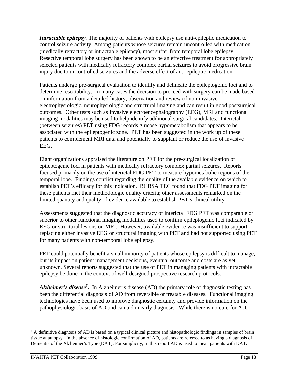*Intractable epilepsy*. The majority of patients with epilepsy use anti-epileptic medication to control seizure activity. Among patients whose seizures remain uncontrolled with medication (medically refractory or intractable epilepsy), most suffer from temporal lobe epilepsy. Resective temporal lobe surgery has been shown to be an effective treatment for appropriately selected patients with medically refractory complex partial seizures to avoid progressive brain injury due to uncontrolled seizures and the adverse effect of anti-epileptic medication.

Patients undergo pre-surgical evaluation to identify and delineate the epileptogenic foci and to determine resectability. In many cases the decision to proceed with surgery can be made based on information from a detailed history, observation and review of non-invasive electrophysiologic, neurophysiologic and structural imaging and can result in good postsurgical outcomes. Other tests such as invasive electroencephalography (EEG), MRI and functional imaging modalities may be used to help identify additional surgical candidates. Interictal (between seizures) PET using FDG records glucose hypometabolism that appears to be associated with the epileptogenic zone. PET has been suggested in the work up of these patients to complement MRI data and potentially to supplant or reduce the use of invasive EEG.

Eight organizations appraised the literature on PET for the pre-surgical localization of epileptogenic foci in patients with medically refractory complex partial seizures. Reports focused primarily on the use of interictal FDG PET to measure hypometabolic regions of the temporal lobe. Findings conflict regarding the quality of the available evidence on which to establish PET's efficacy for this indication. BCBSA TEC found that FDG PET imaging for these patients met their methodologic quality criteria; other assessments remarked on the limited quantity and quality of evidence available to establish PET's clinical utility.

Assessments suggested that the diagnostic accuracy of interictal FDG PET was comparable or superior to other functional imaging modalities used to confirm epileptogenic foci indicated by EEG or structural lesions on MRI. However, available evidence was insufficient to support replacing either invasive EEG or structural imaging with PET and had not supported using PET for many patients with non-temporal lobe epilepsy.

PET could potentially benefit a small minority of patients whose epilepsy is difficult to manage, but its impact on patient management decisions, eventual outcome and costs are as yet unknown. Several reports suggested that the use of PET in managing patients with intractable epilepsy be done in the context of well-designed prospective research protocols.

*Alzheimer's disease<sup>3</sup> .* In Alzheimer's disease (AD) the primary role of diagnostic testing has been the differential diagnosis of AD from reversible or treatable diseases. Functional imaging technologies have been used to improve diagnostic certainty and provide information on the pathophysiologic basis of AD and can aid in early diagnosis. While there is no cure for AD,

<sup>-</sup> $3$  A definitive diagnosis of AD is based on a typical clinical picture and histopathologic findings in samples of brain tissue at autopsy. In the absence of histologic confirmation of AD, patients are referred to as having a diagnosis of Dementia of the Alzheimer's Type (DAT). For simplicity, in this report AD is used to mean patients with DAT.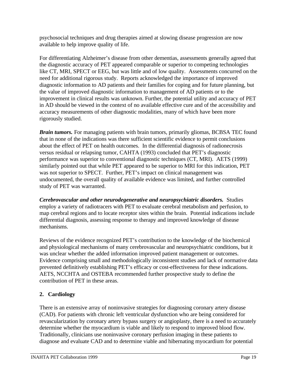psychosocial techniques and drug therapies aimed at slowing disease progression are now available to help improve quality of life.

For differentiating Alzheimer's disease from other dementias, assessments generally agreed that the diagnostic accuracy of PET appeared comparable or superior to competing technologies like CT, MRI, SPECT or EEG, but was little and of low quality. Assessments concurred on the need for additional rigorous study. Reports acknowledged the importance of improved diagnostic information to AD patients and their families for coping and for future planning, but the value of improved diagnostic information to management of AD patients or to the improvement in clinical results was unknown. Further, the potential utility and accuracy of PET in AD should be viewed in the context of no available effective cure and of the accessibility and accuracy measurements of other diagnostic modalities, many of which have been more rigorously studied.

*Brain tumors.* For managing patients with brain tumors, primarily gliomas, BCBSA TEC found that in none of the indications was there sufficient scientific evidence to permit conclusions about the effect of PET on health outcomes. In the differential diagnosis of radionecrosis versus residual or relapsing tumor, CAHTA (1993) concluded that PET's diagnostic performance was superior to conventional diagnostic techniques (CT, MRI). AETS (1999) similarly pointed out that while PET appeared to be superior to MRI for this indication, PET was not superior to SPECT. Further, PET's impact on clinical management was undocumented, the overall quality of available evidence was limited, and further controlled study of PET was warranted.

*Cerebrovascular and other neurodegenerative and neuropsychiatric disorders.* Studies employ a variety of radiotracers with PET to evaluate cerebral metabolism and perfusion, to map cerebral regions and to locate receptor sites within the brain. Potential indications include differential diagnosis, assessing response to therapy and improved knowledge of disease mechanisms.

Reviews of the evidence recognized PET's contribution to the knowledge of the biochemical and physiological mechanisms of many cerebrovascular and neuropsychiatric conditions, but it was unclear whether the added information improved patient management or outcomes. Evidence comprising small and methodologically inconsistent studies and lack of normative data prevented definitively establishing PET's efficacy or cost-effectiveness for these indications. AETS, NCCHTA and OSTEBA recommended further prospective study to define the contribution of PET in these areas.

## **2. Cardiology**

There is an extensive array of noninvasive strategies for diagnosing coronary artery disease (CAD). For patients with chronic left ventricular dysfunction who are being considered for revascularization by coronary artery bypass surgery or angioplasty, there is a need to accurately determine whether the myocardium is viable and likely to respond to improved blood flow. Traditionally, clinicians use noninvasive coronary perfusion imaging in these patients to diagnose and evaluate CAD and to determine viable and hibernating myocardium for potential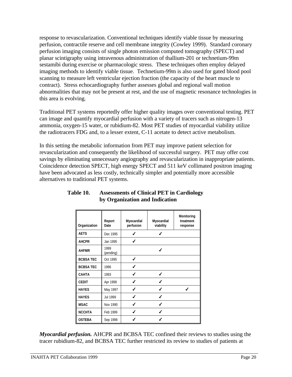response to revascularization. Conventional techniques identify viable tissue by measuring perfusion, contractile reserve and cell membrane integrity (Cowley 1999). Standard coronary perfusion imaging consists of single photon emission computed tomography (SPECT) and planar scintigraphy using intravenous administration of thallium-201 or technetium-99m sestamibi during exercise or pharmacologic stress. These techniques often employ delayed imaging methods to identify viable tissue. Technetium-99m is also used for gated blood pool scanning to measure left ventricular ejection fraction (the capacity of the heart muscle to contract). Stress echocardiography further assesses global and regional wall motion abnormalities that may not be present at rest, and the use of magnetic resonance technologies in this area is evolving.

Traditional PET systems reportedly offer higher quality images over conventional testing. PET can image and quantify myocardial perfusion with a variety of tracers such as nitrogen-13 ammonia, oxygen-15 water, or rubidium-82. Most PET studies of myocardial viability utilize the radiotracers FDG and, to a lesser extent, C-11 acetate to detect active metabolism.

In this setting the metabolic information from PET may improve patient selection for revascularization and consequently the likelihood of successful surgery. PET may offer cost savings by eliminating unnecessary angiography and revascularization in inappropriate patients. Coincidence detection SPECT, high energy SPECT and 511 keV collimated positron imaging have been advocated as less costly, technically simpler and potentially more accessible alternatives to traditional PET systems.

| Organization     | Report<br>Date    | Myocardial<br>perfusion | Myocardial<br>viability | Monitoring<br>treatment<br>response |
|------------------|-------------------|-------------------------|-------------------------|-------------------------------------|
| <b>AETS</b>      | Dec 1995          | ℐ                       | J                       |                                     |
| <b>AHCPR</b>     | Jan 1995          | J                       |                         |                                     |
| <b>AHFMR</b>     | 1999<br>(pending) |                         | ✔                       |                                     |
| <b>BCBSA TEC</b> | Oct 1995          | ℐ                       |                         |                                     |
| <b>BCBSA TEC</b> | 1996              | ℐ                       |                         |                                     |
| <b>CAHTA</b>     | 1993              | ✔                       |                         |                                     |
| <b>CEDIT</b>     | Apr 1998          | ℐ                       | ℐ                       |                                     |
| <b>HAYES</b>     | May 1997          | ℐ                       | ℐ                       | ◢                                   |
| <b>HAYES</b>     | Jul 1999          | ℐ                       | ℐ                       |                                     |
| <b>MSAC</b>      | Nov 1990          |                         |                         |                                     |
| <b>NCCHTA</b>    | Feb 1999          | ✔                       | J                       |                                     |
| <b>OSTEBA</b>    | Sep 1998          |                         |                         |                                     |

## **Table 10. Assessments of Clinical PET in Cardiology by Organization and Indication**

*Myocardial perfusion.* AHCPR and BCBSA TEC confined their reviews to studies using the tracer rubidium-82, and BCBSA TEC further restricted its review to studies of patients at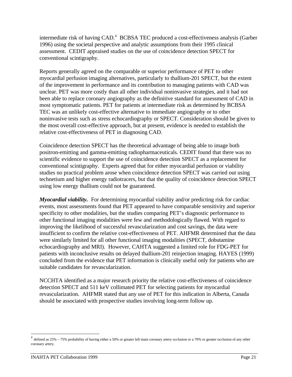intermediate risk of having CAD.<sup>4</sup> BCBSA TEC produced a cost-effectiveness analysis (Garber 1996) using the societal perspective and analytic assumptions from their 1995 clinical assessment. CEDIT appraised studies on the use of coincidence detection SPECT for conventional scintigraphy.

Reports generally agreed on the comparable or superior performance of PET to other myocardial perfusion imaging alternatives, particularly to thallium-201 SPECT, but the extent of the improvement in performance and its contribution to managing patients with CAD was unclear. PET was more costly than all other individual noninvasive strategies, and it had not been able to replace coronary angiography as the definitive standard for assessment of CAD in most symptomatic patients. PET for patients at intermediate risk as determined by BCBSA TEC was an unlikely cost-effective alternative to immediate angiography or to other noninvasive tests such as stress echocardiography or SPECT. Consideration should be given to the most overall cost-effective approach, but at present, evidence is needed to establish the relative cost-effectiveness of PET in diagnosing CAD.

Coincidence detection SPECT has the theoretical advantage of being able to image both positron-emitting and gamma-emitting radiopharmaceuticals. CEDIT found that there was no scientific evidence to support the use of coincidence detection SPECT as a replacement for conventional scintigraphy. Experts agreed that for either myocardial perfusion or viability studies no practical problem arose when coincidence detection SPECT was carried out using technetium and higher energy radiotracers, but that the quality of coincidence detection SPECT using low energy thallium could not be guaranteed.

*Myocardial viability.* For determining myocardial viability and/or predicting risk for cardiac events, most assessments found that PET appeared to have comparable sensitivity and superior specificity to other modalities, but the studies comparing PET's diagnostic performance to other functional imaging modalities were few and methodologically flawed. With regard to improving the likelihood of successful revascularization and cost savings, the data were insufficient to confirm the relative cost-effectiveness of PET. AHFMR determined that the data were similarly limited for all other functional imaging modalities (SPECT, dobutamine echocardiography and MRI). However, CAHTA suggested a limited role for FDG-PET for patients with inconclusive results on delayed thallium-201 reinjection imaging. HAYES (1999) concluded from the evidence that PET information is clinically useful only for patients who are suitable candidates for revascularization.

NCCHTA identified as a major research priority the relative cost-effectiveness of coincidence detection SPECT and 511 keV collimated PET for selecting patients for myocardial revascularization. AHFMR stated that any use of PET for this indication in Alberta, Canada should be associated with prospective studies involving long-term follow up.

<sup>&</sup>lt;sup>4</sup> defined as 25% – 75% probability of having either a 50% or greater left main coronary artery occlusion or a 70% or greater occlusion of any other coronary artery.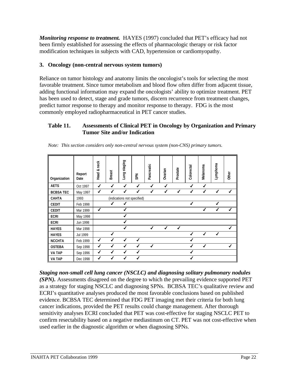*Monitoring response to treatment.* HAYES (1997) concluded that PET's efficacy had not been firmly established for assessing the effects of pharmacologic therapy or risk factor modification techniques in subjects with CAD, hypertension or cardiomyopathy.

## **3. Oncology (non-central nervous system tumors)**

Reliance on tumor histology and anatomy limits the oncologist's tools for selecting the most favorable treatment. Since tumor metabolism and blood flow often differ from adjacent tissue, adding functional information may expand the oncologists' ability to optimize treatment. PET has been used to detect, stage and grade tumors, discern recurrence from treatment changes, predict tumor response to therapy and monitor response to therapy. FDG is the most commonly employed radiopharmaceutical in PET cancer studies.

## **Table 11. Assessments of Clinical PET in Oncology by Organization and Primary Tumor Site and/or Indication**

| Organization    | Report<br>Date | Head & neck | <b>Breast</b>             | Lung staging | <b>SPN</b>                  | Pancreatic   | Ovarian | Prostate | Colorectal | Melanoma          | Lymphoma     | Other |
|-----------------|----------------|-------------|---------------------------|--------------|-----------------------------|--------------|---------|----------|------------|-------------------|--------------|-------|
| <b>AETS</b>     | Oct 1997       | ✔           | ✔                         | ✔            | ✔                           | ✔            | ✔       |          | ℐ          | ✔                 |              |       |
| <b>BCBSATEC</b> | May 1997       | ✔           | $\checkmark$              | ✔            | ✔                           | $\checkmark$ | ✔       | ✔        | ✔          | ✔                 | ✔            | ✔     |
| <b>CAHTA</b>    | 1993           |             |                           |              | (indications not specified) |              |         |          |            |                   |              |       |
| <b>CEDIT</b>    | Feb 1998       |             | ✔                         | ✔            |                             |              |         |          | ✔          |                   | J            |       |
| <b>CEDIT</b>    | Mar 1999       | ✔           |                           | ✔            |                             |              |         |          |            | $\boldsymbol{J}$  | $\checkmark$ | ✔     |
| <b>ECRI</b>     | May 1998       |             |                           | ✔            |                             |              |         |          |            |                   |              |       |
| <b>ECRI</b>     | Jun 1998       |             |                           | $\checkmark$ |                             |              |         |          |            |                   |              |       |
| <b>HAYES</b>    | Mar 1998       |             |                           | ✔            |                             | ✔            | ✔       | ✔        |            |                   |              | ✔     |
| <b>HAYES</b>    | Jul 1999       |             | ✔                         |              |                             |              |         |          |            | ✔                 | ✔            |       |
| <b>NCCHTA</b>   | Feb 1999       | ✔           | $\checkmark$              | ✔            | ✔                           |              |         |          | ✔          |                   |              |       |
| <b>OSTEBA</b>   | Sep 1998       | ✔           | $\boldsymbol{\checkmark}$ | ✔            | ✔                           | ✔            |         |          | ✔          | $\mathbf{\dot{}}$ |              | ✔     |
| <b>VA TAP</b>   | Sep 1996       | ✔           | $\checkmark$              | ✔            | ✔                           |              |         |          | ✔          |                   |              |       |
| <b>VA TAP</b>   | Dec 1998       | ✔           |                           | ✔            | ✔                           |              |         |          | ✔          |                   |              |       |

*Note: This section considers only non-central nervous system (non-CNS) primary tumors.*

*Staging non-small cell lung cancer (NSCLC) and diagnosing solitary pulmonary nodules (SPN).* Assessments disagreed on the degree to which the prevailing evidence supported PET as a strategy for staging NSCLC and diagnosing SPNs. BCBSA TEC's qualitative review and ECRI's quantitative analyses produced the most favorable conclusions based on published evidence. BCBSA TEC determined that FDG PET imaging met their criteria for both lung cancer indications, provided the PET results could change management. After thorough sensitivity analyses ECRI concluded that PET was cost-effective for staging NSCLC PET to confirm resectability based on a negative mediastinum on CT. PET was not cost-effective when used earlier in the diagnostic algorithm or when diagnosing SPNs.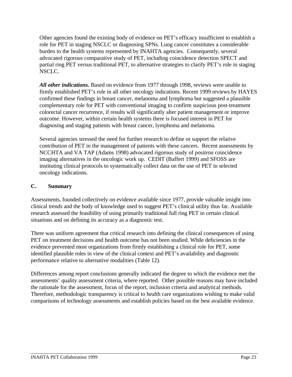Other agencies found the existing body of evidence on PET's efficacy insufficient to establish a role for PET in staging NSCLC or diagnosing SPNs. Lung cancer constitutes a considerable burden to the health systems represented by INAHTA agencies. Consequently, several advocated rigorous comparative study of PET, including coincidence detection SPECT and partial ring PET versus traditional PET, to alternative strategies to clarify PET's role in staging NSCLC.

*All other indications.* Based on evidence from 1977 through 1998, reviews were unable to firmly established PET's role in all other oncology indications. Recent 1999 reviews by HAYES confirmed these findings in breast cancer, melanoma and lymphoma but suggested a plausible complementary role for PET with conventional imaging to confirm suspicious post-treatment colorectal cancer recurrence, if results will significantly alter patient management or improve outcome. However, within certain health systems there is focused interest in PET for diagnosing and staging patients with breast cancer, lymphoma and melanoma.

Several agencies stressed the need for further research to define or support the relative contribution of PET in the management of patients with these cancers. Recent assessments by NCCHTA and VA TAP (Adams 1998) advocated rigorous study of positron coincidence imaging alternatives in the oncologic work up. CEDIT (Baffert 1999) and SFOSS are instituting clinical protocols to systematically collect data on the use of PET in selected oncology indications.

## **C. Summary**

Assessments, founded collectively on evidence available since 1977, provide valuable insight into clinical trends and the body of knowledge used to suggest PET's clinical utility thus far. Available research assessed the feasibility of using primarily traditional full ring PET in certain clinical situations and on defining its accuracy as a diagnostic test.

There was uniform agreement that critical research into defining the clinical consequences of using PET on treatment decisions and health outcome has not been studied. While deficiencies in the evidence prevented most organizations from firmly establishing a clinical role for PET, some identified plausible roles in view of the clinical context and PET's availability and diagnostic performance relative to alternative modalities (Table 12).

Differences among report conclusions generally indicated the degree to which the evidence met the assessments' quality assessment criteria, where reported. Other possible reasons may have included the rationale for the assessment, focus of the report, inclusion criteria and analytical methods. Therefore, methodologic transparency is critical to health care organizations wishing to make valid comparisons of technology assessments and establish policies based on the best available evidence.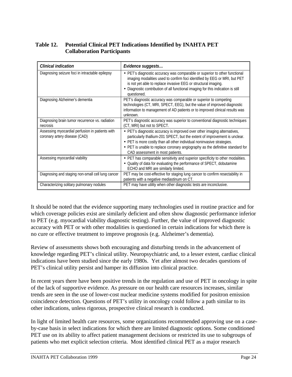## **Table 12. Potential Clinical PET Indications Identified by INAHTA PET Collaboration Participants**

| <b>Clinical indication</b>                                                       | Evidence suggests                                                                                                                                                                                                                                                                                                                                      |
|----------------------------------------------------------------------------------|--------------------------------------------------------------------------------------------------------------------------------------------------------------------------------------------------------------------------------------------------------------------------------------------------------------------------------------------------------|
| Diagnosing seizure foci in intractable epilepsy                                  | • PET's diagnostic accuracy was comparable or superior to other functional<br>imaging modalities used to confirm foci identified by EEG or MRI, but PET<br>is not yet able to replace invasive EEG or structural imaging.<br>• Diagnostic contribution of all functional imaging for this indication is still<br>questioned.                           |
| Diagnosing Alzheimer's dementia                                                  | PET's diagnostic accuracy was comparable or superior to competing<br>technologies (CT, MRI, SPECT, EEG), but the value of improved diagnostic<br>information to management of AD patients or to improved clinical results was<br>unknown.                                                                                                              |
| Diagnosing brain tumor recurrence vs. radiation<br>necrosis                      | PET's diagnostic accuracy was superior to conventional diagnostic techniques<br>(CT, MRI) but not to SPECT.                                                                                                                                                                                                                                            |
| Assessing myocardial perfusion in patients with<br>coronary artery disease (CAD) | • PET's diagnostic accuracy is improved over other imaging alternatives,<br>particularly thallium-201 SPECT, but the extent of improvement is unclear.<br>• PET is more costly than all other individual noninvasive strategies.<br>• PET is unable to replace coronary angiography as the definitive standard for<br>CAD assessment in most patients. |
| Assessing myocardial viability                                                   | • PET has comparable sensitivity and superior specificity to other modalities.<br>• Quality of data for evaluating the performance of SPECT, dobutamine<br>ECHO and MRI are similarly limited.                                                                                                                                                         |
| Diagnosing and staging non-small cell lung cancer                                | PET may be cost-effective for staging lung cancer to confirm resectability in<br>patients with a negative mediastinum on CT.                                                                                                                                                                                                                           |
| Characterizing solitary pulmonary nodules                                        | PET may have utility when other diagnostic tests are inconclusive.                                                                                                                                                                                                                                                                                     |

It should be noted that the evidence supporting many technologies used in routine practice and for which coverage policies exist are similarly deficient and often show diagnostic performance inferior to PET (e.g. myocardial viability diagnostic testing). Further, the value of improved diagnostic accuracy with PET or with other modalities is questioned in certain indications for which there is no cure or effective treatment to improve prognosis (e.g. Alzheimer's dementia).

Review of assessments shows both encouraging and disturbing trends in the advancement of knowledge regarding PET's clinical utility. Neuropsychiatric and, to a lesser extent, cardiac clinical indications have been studied since the early 1980s. Yet after almost two decades questions of PET's clinical utility persist and hamper its diffusion into clinical practice.

In recent years there have been positive trends in the regulation and use of PET in oncology in spite of the lack of supportive evidence. As pressure on our health care resources increases, similar trends are seen in the use of lower-cost nuclear medicine systems modified for positron emission coincidence detection. Questions of PET's utility in oncology could follow a path similar to its other indications, unless rigorous, prospective clinical research is conducted.

In light of limited health care resources, some organizations recommended approving use on a caseby-case basis in select indications for which there are limited diagnostic options. Some conditioned PET use on its ability to affect patient management decisions or restricted its use to subgroups of patients who met explicit selection criteria. Most identified clinical PET as a major research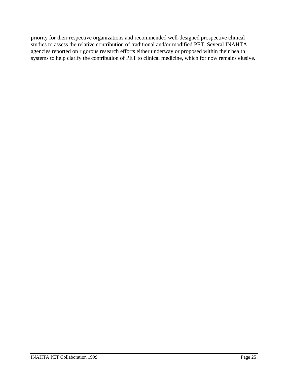priority for their respective organizations and recommended well-designed prospective clinical studies to assess the relative contribution of traditional and/or modified PET. Several INAHTA agencies reported on rigorous research efforts either underway or proposed within their health systems to help clarify the contribution of PET to clinical medicine, which for now remains elusive.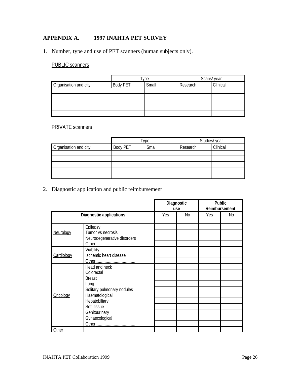## **APPENDIX A. 1997 INAHTA PET SURVEY**

1. Number, type and use of PET scanners (human subjects only).

## PUBLIC scanners

|                       |                 | туре  | Scans/year |          |  |
|-----------------------|-----------------|-------|------------|----------|--|
| Organisation and city | <b>Body PET</b> | Small | Research   | Clinical |  |
|                       |                 |       |            |          |  |
|                       |                 |       |            |          |  |
|                       |                 |       |            |          |  |
|                       |                 |       |            |          |  |
|                       |                 |       |            |          |  |

## PRIVATE scanners

|                       |                 | туре  | Studies/ year |          |
|-----------------------|-----------------|-------|---------------|----------|
| Organisation and city | <b>Body PET</b> | Small | Research      | Clinical |
|                       |                 |       |               |          |
|                       |                 |       |               |          |
|                       |                 |       |               |          |
|                       |                 |       |               |          |
|                       |                 |       |               |          |

2. Diagnostic application and public reimbursement

|            |                                | Diagnostic | <b>Public</b><br>Reimbursement |      |                |
|------------|--------------------------------|------------|--------------------------------|------|----------------|
|            |                                |            | use                            |      |                |
|            | <b>Diagnostic applications</b> | <b>Yes</b> | N <sub>0</sub>                 | Yes. | N <sub>0</sub> |
|            |                                |            |                                |      |                |
|            | Epilepsy                       |            |                                |      |                |
| Neurology  | Tumor vs necrosis              |            |                                |      |                |
|            | Neurodegenerative disorders    |            |                                |      |                |
|            |                                |            |                                |      |                |
|            | Viability                      |            |                                |      |                |
| Cardiology | Ischemic heart disease         |            |                                |      |                |
|            |                                |            |                                |      |                |
|            | Head and neck                  |            |                                |      |                |
|            | Colorectal                     |            |                                |      |                |
|            | <b>Breast</b>                  |            |                                |      |                |
|            | Lung                           |            |                                |      |                |
|            | Solitary pulmonary nodules     |            |                                |      |                |
| Oncology   | Haematological                 |            |                                |      |                |
|            | Hepatobiliary                  |            |                                |      |                |
|            | Soft tissue                    |            |                                |      |                |
|            | Genitourinary                  |            |                                |      |                |
|            | Gynaecological                 |            |                                |      |                |
|            |                                |            |                                |      |                |
| Other      |                                |            |                                |      |                |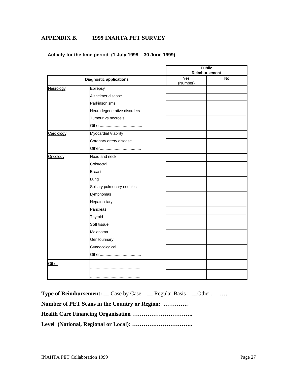## **APPENDIX B. 1999 INAHTA PET SURVEY**

|  | Activity for the time period (1 July 1998 – 30 June 1999) |
|--|-----------------------------------------------------------|
|--|-----------------------------------------------------------|

|            |                                | <b>Public</b><br>Reimbursement |    |  |  |
|------------|--------------------------------|--------------------------------|----|--|--|
|            | <b>Diagnostic applications</b> | Yes<br>(Number)                | No |  |  |
| Neurology  | Epilepsy                       |                                |    |  |  |
|            | Alzheimer disease              |                                |    |  |  |
|            | Parkinsonisms                  |                                |    |  |  |
|            | Neurodegenerative disorders    |                                |    |  |  |
|            | Tumour vs necrosis             |                                |    |  |  |
|            |                                |                                |    |  |  |
| Cardiology | Myocardial Viability           |                                |    |  |  |
|            | Coronary artery disease        |                                |    |  |  |
|            |                                |                                |    |  |  |
| Oncology   | Head and neck                  |                                |    |  |  |
|            | Colorectal                     |                                |    |  |  |
|            | <b>Breast</b>                  |                                |    |  |  |
|            | Lung                           |                                |    |  |  |
|            | Solitary pulmonary nodules     |                                |    |  |  |
|            | Lymphomas                      |                                |    |  |  |
|            | Hepatobiliary                  |                                |    |  |  |
|            | Pancreas                       |                                |    |  |  |
|            | Thyroid                        |                                |    |  |  |
|            | Soft tissue                    |                                |    |  |  |
|            | Melanoma                       |                                |    |  |  |
|            | Genitourinary                  |                                |    |  |  |
|            | Gynaecological                 |                                |    |  |  |
|            |                                |                                |    |  |  |
| Other      |                                |                                |    |  |  |
|            |                                |                                |    |  |  |

| <b>Type of Reimbursement:</b> Case by Case Regular Basis _0ther |  |
|-----------------------------------------------------------------|--|
| Number of PET Scans in the Country or Region:                   |  |
|                                                                 |  |
|                                                                 |  |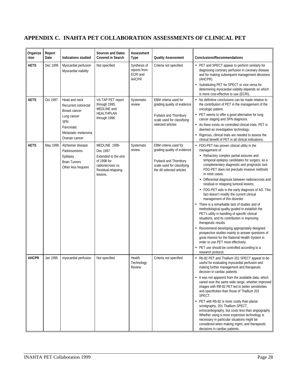## **APPENDIX C. INAHTA PET COLLABORATION ASSESSMENTS OF CLINICAL PET**

| Organiza<br>-tion | Report<br>Date | Indications studied                                                                                                                 | <b>Sources and Dates</b><br><b>Covered in Search</b>                                                                   | Assessment<br>Type                                              | <b>Quality Assessment</b>                                                                                                               | <b>Conclusions/Recommendations</b>                                                                                                                                                                                                                                                                                                                                                                                                                                                                                                                                                                                                                                                                                                                                                                                                                                                                                                                                                                               |
|-------------------|----------------|-------------------------------------------------------------------------------------------------------------------------------------|------------------------------------------------------------------------------------------------------------------------|-----------------------------------------------------------------|-----------------------------------------------------------------------------------------------------------------------------------------|------------------------------------------------------------------------------------------------------------------------------------------------------------------------------------------------------------------------------------------------------------------------------------------------------------------------------------------------------------------------------------------------------------------------------------------------------------------------------------------------------------------------------------------------------------------------------------------------------------------------------------------------------------------------------------------------------------------------------------------------------------------------------------------------------------------------------------------------------------------------------------------------------------------------------------------------------------------------------------------------------------------|
| <b>AETS</b>       | Dec 1995       | Myocardial perfusion<br>Myocardial viability                                                                                        | Not specified                                                                                                          | Synthesis of<br>reports from<br><b>ECRI</b> and<br><b>AHCPR</b> | Criteria not specified                                                                                                                  | • PET and SPECT appear to perform similarly for<br>diagnosing coronary perfusion in coronary disease<br>and for making subsequent management decisions<br>(AHCPR).<br>• Substituting PET for SPECT or vice versa for<br>determining myocardial viability depends on which<br>is more cost-effective to use (ECRI).                                                                                                                                                                                                                                                                                                                                                                                                                                                                                                                                                                                                                                                                                               |
| AETS              | Oct 1997       | Head and neck<br>Recurrent colorectal<br>Breast cancer<br>Lung cancer<br>SPN<br>Pancreatic<br>Metastatic melanoma<br>Ovarian cancer | VA TAP PET report<br>through 1995,<br>MEDLINE and<br>HEALTHPLAN<br>through 1996                                        | Systematic<br>review                                            | EBM criteria used for<br>grading quality of evidence<br>Fryback and Thornbury<br>scale used for classifying<br>selected articles        | $\bullet$<br>No definitive conclusions can be made relative to<br>the contribution of PET in the management of the<br>oncologic patient.<br>• PET seems to offer a good alternative for lung<br>cancer staging and SPN diagnosis.<br>• As there exists no controlled clinical trials, PET is<br>deemed an investigative technology.<br>Rigorous, clinical trials are needed to assess the<br>clinical benefit of PET in all clinical indications.                                                                                                                                                                                                                                                                                                                                                                                                                                                                                                                                                                |
| AETS              | May 1999       | Alzheimer disease<br>Parkinsonisms<br>Epilepsy<br><b>Brain Tumors</b><br>Other less frequent                                        | MEDLINE 1995-<br>Dec 1997<br>Extended to the end<br>of 1998 for<br>radionecrosis vs.<br>Residual-relapsing<br>lesions. | Systematic<br>review                                            | EBM criteria used for<br>grading quality of evidence<br>Fryback and Thornbury<br>scale used for classifying<br>the 48 selected articles | • FDG-PET has proven clinical utility in the<br>management of:<br>• Refractory complex partial seizures and<br>temporal epilepsy candidates for surgery, as a<br>complementary diagnostic and prognostic tool.<br>FDG-PET does not preclude invasive methods<br>in most cases.<br>• Differential diagnosis between radionecrosis and<br>residual or relapsing tumoral lesions.<br>• FDG-PET aids in the early diagnosis of AD. This<br>fact doesn't modify the current clinical<br>management of this disorder.<br>There is a remarkable lack of studies and of<br>methodological quality guided to establish the<br>PET's utility in handling of specific clinical<br>situations, and its contribution in improving<br>therapeutic results.<br>Recommend developing appropriately designed<br>prospective studies mainly to answer questions of<br>great interest for the National Health System in<br>order to use PET most effectively.<br>• PET use should be controlled according to a<br>research protocol |
| <b>AHCPR</b>      | Jan 1995       | myocardial perfusion                                                                                                                | Not specified                                                                                                          | Health<br>Technology<br>Review                                  | Criteria not specified                                                                                                                  | • Rb-82 PET and Thallium 201 SPECT appear to be<br>useful for evaluating myocardial perfusion and<br>making further management and therapeutic<br>decision in cardiac patients.<br>• It was not apparent from the available data, which<br>varied over the same wide range, whether improved<br>images with RB-82 PET led to better sensitivities<br>and specificities than those of Thallium 201<br>SPECT.<br>• PET with Rb-82 is more costly than planar<br>scintigraphy, 201 Thallium SPECT,<br>echocardiography, but costs less than angiography.<br>Whether using a more expensive technology is<br>necessary in particular situations might be<br>considered when making mgmt, and therapeutic<br>decisions in cardiac patients.                                                                                                                                                                                                                                                                           |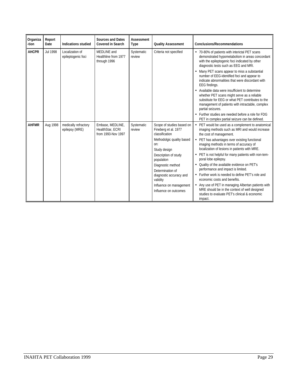| Organiza<br>-tion | Report<br>Date | <b>Indications studied</b>             | <b>Sources and Dates</b><br><b>Covered in Search</b>       | Assessment<br><b>Type</b> | <b>Quality Assessment</b>                                                                                                                                                                                                                                                                         | <b>Conclusions/Recommendations</b>                                                                                                                                                                                                                                                                                                                                                                                                                                                                                                                                                                                                                                                                              |
|-------------------|----------------|----------------------------------------|------------------------------------------------------------|---------------------------|---------------------------------------------------------------------------------------------------------------------------------------------------------------------------------------------------------------------------------------------------------------------------------------------------|-----------------------------------------------------------------------------------------------------------------------------------------------------------------------------------------------------------------------------------------------------------------------------------------------------------------------------------------------------------------------------------------------------------------------------------------------------------------------------------------------------------------------------------------------------------------------------------------------------------------------------------------------------------------------------------------------------------------|
| <b>AHCPR</b>      | Jul 1998       | Localization of<br>epileptogenic foci  | MEDLINE and<br>Healthline from 1977<br>through 1996        | Systematic<br>review      | Criteria not specified                                                                                                                                                                                                                                                                            | 70-80% of patients with interictal PET scans<br>demonstrated hypometabolism in areas concordant<br>with the epileptogenic foci indicated by other<br>diagnostic tests such as EEG and MRI.<br>Many PET scans appear to miss a substantial<br>number of EEG-identified foci and appear to<br>indicate abnormalities that were discordant with<br>EEG findings.<br>• Available data were insufficient to determine<br>whether PET scans might serve as a reliable<br>substitute for EEG or what PET contributes to the<br>management of patients with intractable, complex<br>partial seizures.<br>Further studies are needed before a role for FDG<br>PET in complex partial seizure can be defined.             |
| <b>AHFMR</b>      | Aug 1998       | medically refractory<br>epilepsy (MRE) | Embase, MEDLINE,<br>HealthStar, ECRI<br>from 1993-Nov 1997 | Systematic<br>review      | Scope of studies based on<br>Fineberg et al. 1977<br>classification<br>Methodolgic quality based<br>On:<br>Study design<br>Description of study<br>population<br>Diagnostic method<br>Determination of<br>diagnostic accuracy and<br>validity<br>Influence on management<br>Influence on outcomes | PET would be used as a complement to anatomical<br>$\bullet$<br>imaging methods such as MRI and would increase<br>the cost of management.<br>• PET has advantages over existing functional<br>imaging methods in terms of accuracy of<br>localization of lesions in patients with MRE.<br>PET is not helpful for many patients with non-tem-<br>poral lobe epilepsy.<br>• Quality of the available evidence on PET's<br>performance and impact is limited.<br>Further work is needed to define PET's role and<br>economic costs and benefits.<br>Any use of PET in managing Albertan patients with<br>MRE should be in the context of well designed<br>studies to evaluate PFT's clinical & economic<br>impact. |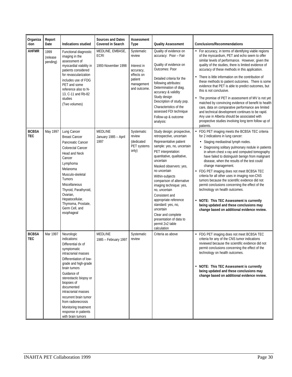| Organiza<br>-tion          | Report<br>Date               | <b>Indications studied</b>                                                                                                                                                                                                                                                                                                                                                 | <b>Sources and Dates</b><br><b>Covered in Search</b> | Assessment<br><b>Type</b>                                                                               | <b>Quality Assessment</b>                                                                                                                                                                                                                                                                                                                                                                                                                                                                | <b>Conclusions/Recommendations</b>                                                                                                                                                                                                                                                                                                                                                                                                                                                                                                                                                                                                                                                                                                                                                                          |
|----------------------------|------------------------------|----------------------------------------------------------------------------------------------------------------------------------------------------------------------------------------------------------------------------------------------------------------------------------------------------------------------------------------------------------------------------|------------------------------------------------------|---------------------------------------------------------------------------------------------------------|------------------------------------------------------------------------------------------------------------------------------------------------------------------------------------------------------------------------------------------------------------------------------------------------------------------------------------------------------------------------------------------------------------------------------------------------------------------------------------------|-------------------------------------------------------------------------------------------------------------------------------------------------------------------------------------------------------------------------------------------------------------------------------------------------------------------------------------------------------------------------------------------------------------------------------------------------------------------------------------------------------------------------------------------------------------------------------------------------------------------------------------------------------------------------------------------------------------------------------------------------------------------------------------------------------------|
| <b>AHFMR</b>               | 1999<br>(release<br>pending) | Functional diagnostic<br>imaging in the<br>assessment of<br>myocardial viability in<br>patients considered<br>for revascularization<br>includes use of FDG<br>PET and some<br>reference also to N-<br>13. C-11 and Rb-82<br>studies<br>(Two volumes)                                                                                                                       | MEDLINE, EMBASE,<br>ECRI<br>1993-November 1998       | Systematic<br>review<br>Interest in<br>accuracy,<br>effects on<br>patient<br>management<br>and outcome. | Quality of evidence on<br>accuracy: Poor - Fair<br>Quality of evidence on<br>Outcomes: Poor<br>Detailed criteria for the<br>following attributes:<br>Determination of diag.<br>accuracy & validity<br>Study design<br>Description of study pop.<br>Characteristics of the<br>assessed FDI technique<br>Follow-up & outcome<br>analysis:                                                                                                                                                  | • For accuracy, in terms of identifying viable regions<br>of the myocardium, PET and echo seem to offer<br>similar levels of performance. However, given the<br>quality of the studies, there is limited evidence of<br>accuracy of these methods in this application.<br>There is little information on the contribution of<br>these methods to patient outcomes. There is some<br>evidence that PET is able to predict outcomes, but<br>this is not conclusive.<br>The promise of PET in assessment of MV is not yet<br>matched by convincing evidence of benefit to health<br>care, data on comparative performance are limited<br>and technical development continues to be rapid.<br>Any use in Alberta should be associated with<br>prospective studies involving long term follow up of<br>patients. |
| <b>BCBSA</b><br><b>TEC</b> | May 1997                     | Lung Cancer<br><b>Breast Cancer</b><br>Pancreatic Cancer<br>Colorectal Cancer<br>Head and Neck<br>Cancer<br>Lymphoma<br>Melanoma<br>Musculo-skeletal<br>Tumors<br>Miscellaneous<br>Thyroid, Parathyroid,<br>Ovarian,<br>Hepatocellular,<br>Thymoma, Prostate,<br>Germ Cell, and<br>esophageal                                                                              | MEDLINE<br>January 1985 - April<br>1997              | Systematic<br>review<br>(dedicated<br>PET systems<br>only)                                              | Study design: prospective,<br>retrospective, uncertain<br>Representative patient<br>sample: yes, no, uncertain<br>PET interpretation:<br>quantitative, qualitative,<br>uncertain<br>Masked observers: yes,<br>no uncertain<br>Within-subjects<br>comparison of alternative<br>imaging technique: yes,<br>no, uncertain<br>Consistent and<br>appropriate reference<br>standard: yes, no,<br>uncertain<br>Clear and complete<br>presentation of data to<br>permit 2x2 table<br>calculation | • FDG PET imaging meets the BCBSA TEC criteria<br>for 2 indications in lung cancer:<br>• Staging mediastinal lymph nodes.<br>• Diagnosing solitary pulmonary nodule in patients<br>in whom chest x-ray and computed tomography<br>have failed to distinguish benign from malignant<br>disease, when the results of the test could<br>change management.<br>• FDG PET imaging does not meet BCBSA TEC<br>criteria for all other uses in imaging non-CNS<br>tumors because the scientific evidence did not<br>permit conclusions concerning the effect of the<br>technology on health outcomes.<br>• NOTE: This TEC Assessment is currently<br>being updated and these conclusions may<br>change based on additional evidence review.                                                                         |
| <b>BCBSA</b><br><b>TEC</b> | Mar 1997                     | Neurologic<br>indications:<br>Differential dx of<br>symptomatic<br>intracranial masses<br>Differentiation of low-<br>grade and high-grade<br>brain tumors<br>Guidance of<br>stereotactic biopsy or<br>biopsies of<br>documented<br>intracranial masses<br>recurrent brain tumor<br>from radionecrosis<br>Monitoring treatment<br>response in patients<br>with brain tumors | <b>MEDLINE</b><br>1985 - February 1997               | Systematic<br>review                                                                                    | Criteria as above                                                                                                                                                                                                                                                                                                                                                                                                                                                                        | • FDG PET imaging does not meet BCBSA TEC<br>criteria for any of the CNS tumor indications<br>reviewed because the scientific evidence did not<br>permit conclusions concerning the effect of the<br>technology on health outcomes.<br>• NOTE: This TEC Assessment is currently<br>being updated and these conclusions may<br>change based on additional evidence review.                                                                                                                                                                                                                                                                                                                                                                                                                                   |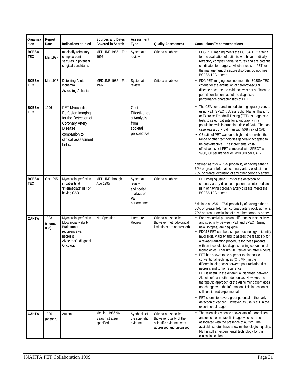| Organiza<br>-tion          | Report<br>Date            | Indications studied                                                                                                                              | <b>Sources and Dates</b><br><b>Covered in Search</b> | Assessment<br>Type                                                      | <b>Quality Assessment</b>                                                                                | <b>Conclusions/Recommendations</b>                                                                                                                                                                                                                                                                                                                                                                                                                                                                                                                                                                                                                                                                                                                                                                                                                                                                                                                                                                              |
|----------------------------|---------------------------|--------------------------------------------------------------------------------------------------------------------------------------------------|------------------------------------------------------|-------------------------------------------------------------------------|----------------------------------------------------------------------------------------------------------|-----------------------------------------------------------------------------------------------------------------------------------------------------------------------------------------------------------------------------------------------------------------------------------------------------------------------------------------------------------------------------------------------------------------------------------------------------------------------------------------------------------------------------------------------------------------------------------------------------------------------------------------------------------------------------------------------------------------------------------------------------------------------------------------------------------------------------------------------------------------------------------------------------------------------------------------------------------------------------------------------------------------|
| <b>BCBSA</b><br><b>TEC</b> | Mar 1997                  | medically refractory<br>complex partial<br>seizures in potential<br>surgical candidates                                                          | MEDLINE 1985 - Feb<br>1997                           | Systematic<br>review                                                    | Criteria as above                                                                                        | • FDG PET imaging meets the BCBSA TEC criteria<br>for the evaluation of patients who have medically<br>refractory complex partial seizures and are potential<br>candidates for surgery. All other uses of PET for<br>the management of seizure disorders do not meet<br>BCBSA TEC criteria.                                                                                                                                                                                                                                                                                                                                                                                                                                                                                                                                                                                                                                                                                                                     |
| <b>BCBSA</b><br><b>TEC</b> | Mar 1997                  | Detecting Acute<br>Ischemia<br>Assessing Aphasia                                                                                                 | MEDLINE 1985 - Feb<br>1997                           | Systematic<br>review                                                    | Criteria as above                                                                                        | • FDG PET imaging does not meet the BCBSA TEC<br>criteria for the evaluation of cerebrovascular<br>disease because the evidence was not sufficient to<br>permit conclusions about the diagnostic<br>performance characteristics of PET.                                                                                                                                                                                                                                                                                                                                                                                                                                                                                                                                                                                                                                                                                                                                                                         |
| <b>BCBSA</b><br><b>TEC</b> | 1996                      | PET Myocardial<br>Perfusion Imaging<br>for the Detection of<br>Coronary Artery<br><b>Disease</b><br>companion to<br>clinical assessment<br>below |                                                      | Cost-<br>Effectivenes<br>s Analysis<br>from<br>societal<br>perspective  |                                                                                                          | The CEA compared immediate angiography versus<br>using PET, SPECT, Stress Echo, Planar Thallium,<br>or Exercise Treadmill Testing (ETT) as diagnostic<br>tests to select patients for angiography in a<br>population with intermediate risk* of CAD. The base<br>case was a 55 yr old man with 50% risk of CAD.<br>• CE ratio of PET was quite high and not within the<br>range of other technologies generally accepted to<br>be cost-effective. The incremental cost-<br>effectiveness of PET compared with SPECT was<br>\$900,000 per life year or \$490,000 per QALY.<br>* defined as 25% - 75% probability of having either a<br>50% or greater left main coronary artery occlusion or a<br>70% or greater occlusion of any other coronary artery.                                                                                                                                                                                                                                                         |
| <b>BCBSA</b><br><b>TEC</b> | Oct 1995                  | Myocardial perfusion<br>in patients at<br>"intermediate" risk of<br>having CAD                                                                   | MEDLINE through<br>Aug 1995                          | Systematic<br>review<br>and pooled<br>analysis of<br>PET<br>performance | Criteria as above                                                                                        | • PET imaging using <sup>82</sup> Rb for the detection of<br>coronary artery disease in patients at intermediate<br>risk* of having coronary artery disease meets the<br><b>BCBSA TEC criteria.</b><br>* defined as 25% - 75% probability of having either a<br>50% or greater left main coronary artery occlusion or a<br>70% or greater occlusion of any other coronary artery.                                                                                                                                                                                                                                                                                                                                                                                                                                                                                                                                                                                                                               |
| <b>CAHTA</b>               | 1993<br>(internal<br>use) | Myocardial perfusion<br>Myocardial viability<br>Brain tumor<br>recurrence vs.<br>necrosis<br>Alzheimer's diagnosis<br>Oncology                   | Not Specified                                        | Literature<br>Review                                                    | Criteria not specified<br>(however methodological<br>limitations are addressed)                          | • For myocardial perfusion, differences in sensitivity<br>and specificity between PET and SPECT (using<br>new isotopes) are negligible.<br>• FDG18-PET can be a support technology to identify<br>myocardial viability and to assess the feasibility for<br>a revascularization procedure for those patients<br>with an inconclusive diagnosis using conventional<br>technologies (Thallium-201 reinjection after 4 hours)<br>• PET has shown to be superior to diagnostic<br>conventional techniques (CT, MRI) in the<br>differential diagnosis between post-radiation tissue<br>necrosis and tumor recurrence.<br>• PET is useful in the differential diagnosis between<br>Alzheimer's and other dementias. However, the<br>therapeutic approach of the Alzheimer patient does<br>not change with the information. This indication is<br>still considered experimental.<br>• PET seems to have a great potential in the early<br>detection of cancer. However, its use is still in the<br>experimental stage. |
| <b>CAHTA</b>               | 1996<br>(briefing)        | Autism                                                                                                                                           | Medline 1986-96<br>Search strategy<br>specified      | Synthesis of<br>the scientific<br>evidence                              | Criteria not specified<br>(however quality of the<br>scientific evidence was<br>addressed and discussed) | The scientific evidence shows lack of a consistent<br>$\bullet$<br>anatomical or metabolic image which can be<br>associated with the presence of autism. The<br>available studies have a low methodological quality.<br>PET is still an experimental technology for this<br>clinical indication.                                                                                                                                                                                                                                                                                                                                                                                                                                                                                                                                                                                                                                                                                                                |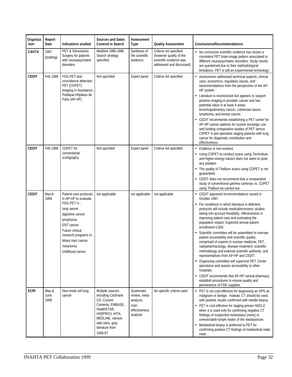| Organiza<br>-tion | Report<br>Date        | Indications studied                                                                                                                                                                                                                   | <b>Sources and Dates</b><br><b>Covered in Search</b>                                                                                                                             | Assessment<br>Type                                                             | <b>Quality Assessment</b>                                                                                | <b>Conclusions/Recommendations</b>                                                                                                                                                                                                                                                                                                                                                                                                                                                                                                                                                                                                                                                                                                                                                                                                                                                                    |
|-------------------|-----------------------|---------------------------------------------------------------------------------------------------------------------------------------------------------------------------------------------------------------------------------------|----------------------------------------------------------------------------------------------------------------------------------------------------------------------------------|--------------------------------------------------------------------------------|----------------------------------------------------------------------------------------------------------|-------------------------------------------------------------------------------------------------------------------------------------------------------------------------------------------------------------------------------------------------------------------------------------------------------------------------------------------------------------------------------------------------------------------------------------------------------------------------------------------------------------------------------------------------------------------------------------------------------------------------------------------------------------------------------------------------------------------------------------------------------------------------------------------------------------------------------------------------------------------------------------------------------|
| CAHTA             | 1997<br>(briefing)    | <b>PET &amp; Stereotactic</b><br>Surgery for patients<br>with neuropsychiatric<br>disorders                                                                                                                                           | Mediline 1986-1996<br>Search strategy<br>specified                                                                                                                               | Synthesis of<br>the scientific<br>evidence                                     | Criteria not specified<br>(however quality of the<br>scientific evidence was<br>addressed and discussed) | • No conclusive scientific evidence has shown a<br>consistent PET brain image pattern associated to<br>different neuropsychiatric disorders. Study results<br>are questioned due to their methodological<br>limitations. PET is still an experimental technology.                                                                                                                                                                                                                                                                                                                                                                                                                                                                                                                                                                                                                                     |
| <b>CEDIT</b>      | Feb 1998              | FDG-PET and<br>coincidence detection<br>PET (CDPET)<br>imaging in Assistance<br>Publique-Hôpitaux de<br>Paris (AP-HP)                                                                                                                 | Not specified                                                                                                                                                                    | Expert panel                                                                   | Criteria not specified                                                                                   | Assessment addressed technical aspects, clinical<br>uses, economics, regulatory issues, and<br>recommendations from the perspective of the AP-<br>HP system<br>• Literature is inconclusive but appears to support<br>positron imaging in prostatic cancer and has<br>potential value in at least 4 areas:<br>bronchopulmonary cancer, colorectal cancer,<br>lymphoma, and breast cancer.<br>• CEDIT recommends establishing a PET center for<br>AP-HP cancer patients for routine oncologic use<br>and funding comparative studies of PET versus<br>CDPET in pre-operative staging patients with lung<br>cancer for diagnostic contribution and<br>effectiveness.                                                                                                                                                                                                                                    |
| <b>CEDIT</b>      | Feb 1998              | CDPET for<br>conventional<br>scintigraphy                                                                                                                                                                                             | Not specified                                                                                                                                                                    | Expert panel                                                                   | Criteria not specified                                                                                   | Evidence is non-existent<br>٠<br>• Using CDPET to conduct scans using Technitium<br>and higher-energy tracers does not seem to pose<br>any problem<br>• The quality of Thallium scans using CDPET is not<br>quaranteed.<br>• CEDIT does not recommend that a comparative<br>study of conventional gamma cameras vs. CDPET<br>using Thallium be carried out.                                                                                                                                                                                                                                                                                                                                                                                                                                                                                                                                           |
| <b>CEDIT</b>      | March<br>1999         | Patient-care protocols<br>in AP-HP to evaluate<br>FDG-PET in:<br>lung cancer<br>digestive cancer<br>lymphoma<br><b>ENT</b> cancer<br>Future clinical<br>research programs in:<br>biliary tract cancer<br>melanoma<br>childhood cancer | not applicable                                                                                                                                                                   | not applicable                                                                 | not applicable                                                                                           | • CEDIT approved recommendations issued in<br>October 1997.<br>• For conditions in which literature is deficient,<br>protocols will include medical/economic studies<br>taking into account feasibility, effectiveness in<br>improving patient care and estimating the<br>population impact. Expected annual patient<br>enrollment=1,600.<br>Scientific committee will be assembled to oversee<br>patient accessibility and scientific quality,<br>comprised of experts in nuclear medicine, PET,<br>radiopharmacology, disease treatment, scientific<br>methodology and external scientific authority, and<br>representatives from AP-HP and CEDIT.<br>• Organizing committee will supervise PET Center<br>operations and assess accessibility to other<br>hospitals.<br>• CEDIT recommends that AP-HP central pharmacy<br>establish procedures to ensure quality and<br>permanence of FDG supplies. |
| <b>ECRI</b>       | May &<br>June<br>1998 | Non-small cell lung<br>cancer                                                                                                                                                                                                         | Multiple sources<br>including Cochrane<br>CD, Current<br>Contents, EMBASE,<br>HealthSTAR,<br>HSRPROJ, IHTA,<br>MEDLINE, various<br>web sites, gray<br>literature from<br>1990-97 | Systematic<br>review, meta-<br>analysis,<br>cost-<br>effectiveness<br>analysis | No specific criteria used                                                                                | • PET is not cost-effective for diagnosing an SPN as<br>malignant or benign. Instead, CT should be used,<br>with positive results confirmed with needle biopsy.<br>• PET is cost-effective for staging proven NSCLC<br>when it is used only for confirming negative CT<br>findings of suspected metastases (mets) to<br>unresectable lymph nodes of the mediastinum.<br>• Mediastinal biopsy is preferred to PET for<br>confirming positive CT findings of mediastinal node<br>mets.                                                                                                                                                                                                                                                                                                                                                                                                                  |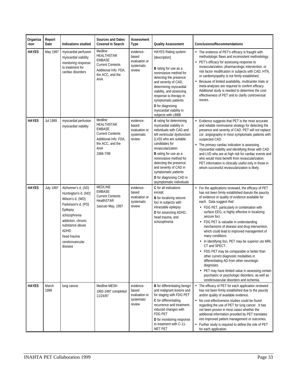| Organiza<br>-tion | Report<br>Date   | Indications studied                                                                                                                                                                                               | <b>Sources and Dates</b><br><b>Covered in Search</b>                                                                                      | Assessment<br>Type                                          | <b>Quality Assessment</b>                                                                                                                                                                                                                                                                                                                                                     | <b>Conclusions/Recommendations</b>                                                                                                                                                                                                                                                                                                                                                                                                                                                                                                                                                                                                                                                                                                                                                                                                                   |
|-------------------|------------------|-------------------------------------------------------------------------------------------------------------------------------------------------------------------------------------------------------------------|-------------------------------------------------------------------------------------------------------------------------------------------|-------------------------------------------------------------|-------------------------------------------------------------------------------------------------------------------------------------------------------------------------------------------------------------------------------------------------------------------------------------------------------------------------------------------------------------------------------|------------------------------------------------------------------------------------------------------------------------------------------------------------------------------------------------------------------------------------------------------------------------------------------------------------------------------------------------------------------------------------------------------------------------------------------------------------------------------------------------------------------------------------------------------------------------------------------------------------------------------------------------------------------------------------------------------------------------------------------------------------------------------------------------------------------------------------------------------|
| <b>HAYES</b>      | May 1997         | myocardial perfusion<br>myocardial viability<br>monitoring response<br>to treatment for<br>cardiac disorders                                                                                                      | Medline<br>HEALTHSTAR<br><b>EMBASE</b><br><b>Current Contents</b><br>Additional Info: FDA,<br>the ACC, and the<br>AHA                     | evidence-<br>based<br>evaluation or<br>systematic<br>review | HAYES Rating system:<br>[description]<br><b>B</b> rating for use as a<br>noninvasive method for<br>detecting the presence<br>and severity of CAD,<br>determining myocardial<br>viability, and assessing<br>response to therapy in<br>symptomatic patients<br>D for diagnosing<br>myocardial viability in<br>subjects with LBBB                                                | • The evidence of PET's efficacy is fraught with<br>methodologic flaws and inconsistent methodology.<br>PET's efficacy for assessing response to<br>revascularization, pharmacologic intervention, or<br>risk factor modification in subjects with CAD, HTN,<br>or cardiomyopathy is not firmly established.<br>Because of limited availability, multicenter trials or<br>meta-analyses are required to confirm efficacy.<br>Additional study is needed to determine the cost-<br>effectiveness of PET and to clarify controversial<br>issues.                                                                                                                                                                                                                                                                                                       |
| <b>HAYES</b>      | Jul 1999         | myocardial perfusion<br>myocardial viability                                                                                                                                                                      | Medline<br><b>HEALTHSTAR</b><br><b>EMBASE</b><br><b>Current Contents</b><br>Additional Info: FDA,<br>the ACC, and the<br>AHA<br>1966-7/99 | evidence-<br>based<br>evaluation or<br>systematic<br>review | A rating for determining<br>myocardial viability in<br>individuals with CAD and<br>left ventricular dysfunction<br>(LVD) who are suitable<br>candidates for<br>revascularization<br><b>B</b> rating for use as a<br>noninvasive method for<br>detecting the presence<br>and severity of CAD in<br>symptomatic patients<br>D for diagnosing CAD in<br>asymptomatic individuals | Evidence suggests that PET is the most accurate<br>and reliable noninvasive strategy for detecting the<br>presence and severity of CAD. PET will not replace<br>cor. angiography in most symptomatic patients with<br>suspected CAD.<br>The primary cardiac indication is assessing<br>myocardial viability and identifying those with CAD<br>and LVD who are at high risk for cardiac events and<br>who would most benefit from revascularization.<br>PET information is clinically useful only in those in<br>whom successful revascularization is likely.                                                                                                                                                                                                                                                                                         |
| <b>HAYES</b>      | <b>July 1997</b> | Alzheimer's d. (AD)<br>Huntington's d. (HD)<br>Wilson's d. (WD)<br>Parkinson's d. (PD)<br>Epilepsy<br>schizophrenia<br>addiction, chronic<br>substance abuse<br>ADHD<br>head trauma<br>cerebrovascular<br>disease | MEDLINE<br><b>EMBASE</b><br><b>Current Contents</b><br>HealthSTAR<br>1ascuto May, 1997                                                    | evidence-<br>based<br>evaluation or<br>systematic<br>review | C for all indications<br>except:<br><b>B</b> for localizing seizure<br>foci in subjects with<br>intractable epilepsy<br>D for assessing ADHD,<br>head trauma, and<br>schizophrenia                                                                                                                                                                                            | • For the applications reviewed, the efficacy of PET<br>has not been firmly established dueuto the paucity<br>of evidence or quality of evidence available for<br>each. Data suggest that:<br>• FDG PET, particularly in combination with<br>surface EEG, is highly effective in localizing<br>seizure foci<br>• FDG PET is valuable in understanding<br>mechanisms of disease and drug intervention,<br>which could lead to improved management of<br>many conditions<br>• In identifying foci, PET may be superior uto MRI,<br>CT and SPECT.<br>• FDG PET may be comparable or better than<br>other current diagnostic modalities in<br>differentiating AD from other neurologic<br>diagnoses.<br>• PET may have limited value in assessing certain<br>psychiatric or psychologic disorders, as well as<br>cerebrovascular disorders and ischemia. |
| <b>HAYES</b>      | March<br>1998    | lung cancer                                                                                                                                                                                                       | Medline-MESH<br>1992-1997 completed<br>11/24/97                                                                                           | evidence-<br>based<br>evaluation or<br>systematic<br>review | <b>B</b> for differentiating benign<br>and malignant lesions and<br>for staging with FDG PET<br>C for differentiating<br>recurrence and treatment-<br>induced changes with<br>FDG PET<br>D for monitoring response<br>to treatment with C-11-<br><b>MET PET</b>                                                                                                               | • The efficacy of PET for each application reviewed<br>has not been firmly established due to the paucity<br>and/or quality of available evidence.<br>No cost-effectiveness studies could be found<br>regarding the use of PET for lung cancer. It has<br>not been proven in most cases whether the<br>additional information provided by PET translates<br>into improved patient management or outcomes.<br>Further study is required to define the role of PET<br>for each application.                                                                                                                                                                                                                                                                                                                                                            |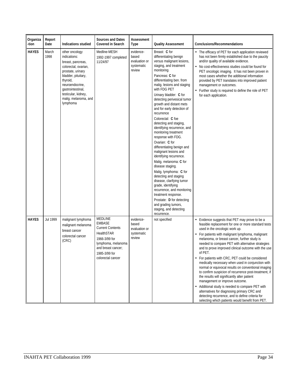| Organiza<br>-tion | Report<br>Date | Indications studied                                                                                                                                                                                                                    | <b>Sources and Dates</b><br><b>Covered in Search</b>                                                                                                                 | Assessment<br>Type                                          | <b>Quality Assessment</b>                                                                                                                                                                                                                                                                                                                                                                                                                                                                                                                                                                                                                                                                                                                                                                                                                                                        | <b>Conclusions/Recommendations</b>                                                                                                                                                                                                                                                                                                                                                                                                                                                                                                                                                                                                                                                                                                                                                                                                                                                      |
|-------------------|----------------|----------------------------------------------------------------------------------------------------------------------------------------------------------------------------------------------------------------------------------------|----------------------------------------------------------------------------------------------------------------------------------------------------------------------|-------------------------------------------------------------|----------------------------------------------------------------------------------------------------------------------------------------------------------------------------------------------------------------------------------------------------------------------------------------------------------------------------------------------------------------------------------------------------------------------------------------------------------------------------------------------------------------------------------------------------------------------------------------------------------------------------------------------------------------------------------------------------------------------------------------------------------------------------------------------------------------------------------------------------------------------------------|-----------------------------------------------------------------------------------------------------------------------------------------------------------------------------------------------------------------------------------------------------------------------------------------------------------------------------------------------------------------------------------------------------------------------------------------------------------------------------------------------------------------------------------------------------------------------------------------------------------------------------------------------------------------------------------------------------------------------------------------------------------------------------------------------------------------------------------------------------------------------------------------|
| <b>HAYES</b>      | March<br>1998  | other oncology<br>indications:<br>breast, pancreas,<br>colorectal, ovarian,<br>prostate, urinary<br>bladder, pituitary,<br>thyroid,<br>neuroendocrine,<br>qastrointestinal,<br>testicular, kidney,<br>malig. melanoma, and<br>lymphoma | Medline-MESH<br>1992-1997 completed<br>11/24/97                                                                                                                      | evidence-<br>based<br>evaluation or<br>systematic<br>review | Breast: C for<br>differentiating benign<br>versus malignant lesions,<br>staging, and treatment<br>monitoring<br>Pancreas: C for<br>differentiating ben. from<br>malig. lesions and staging<br>with FDG PET<br>Urinary bladder: C for<br>detecting perivesical tumor<br>growth and distant mets<br>and for early detection of<br>recurrence<br>Colorectal: C foe<br>detecting and staging,<br>identifying recurrence, and<br>monitoring treatment<br>response with FDG.<br>Ovarian: C for<br>differentiating benign and<br>malignant lesions and<br>identifying recurrence.<br>Malig. melanoma: C for<br>disease staging.<br>Malig. lymphoma: C for<br>detecting and staging<br>disease, clarifying tumor<br>grade, identifying<br>recurrence, and monitoring<br>treatment response.<br>Prostate: D for detecting<br>and grading tumors,<br>staging, and detecting<br>recurrence. | • The efficacy of PET for each application reviewed<br>has not been firmly established due to the paucity<br>and/or quality of available evidence.<br>No cost-effectiveness studies could be found for<br>PET oncologic imaging. It has not been proven in<br>most cases whether the additional information<br>provided by PET translates into improved patient<br>management or outcomes.<br>Further study is required to define the role of PET<br>for each application.                                                                                                                                                                                                                                                                                                                                                                                                              |
| <b>HAYES</b>      | Jul 1999       | malignant lymphoma<br>malignant melanoma<br>breast cancer<br>colorectal cancer<br>(CRC)                                                                                                                                                | MEDLINE<br><b>EMBASE</b><br><b>Current Contents</b><br>HealthSTAR<br>1966-3/99 for<br>lymphoma, melanoma<br>and breast cancer;<br>1985-3/99 for<br>colorectal cancer | evidence-<br>based<br>evaluation or<br>systematic<br>review | not specified                                                                                                                                                                                                                                                                                                                                                                                                                                                                                                                                                                                                                                                                                                                                                                                                                                                                    | Evidence suggests that PET may prove to be a<br>feasible replacement for one or more standard tests<br>used in the oncologic work up.<br>• For patients with malignant lymphoma, malignant<br>melanoma, or breast cancer, further study is<br>needed to compare PET with alternative strategies<br>and to prove improved clinical outcome with the use<br>of PET.<br>• For patients with CRC, PET could be considered<br>medically necessary when used in conjunction with<br>normal or equivocal results on conventional imaging<br>to confirm suspicion of recurrence post-treatment, if<br>the results will significantly alter patient<br>management or improve outcome.<br>• Additional study is needed to compare PET with<br>alternatives for diagnosing primary CRC and<br>detecting recurrence, and to define criteria for<br>selecting which patients would benefit from PET. |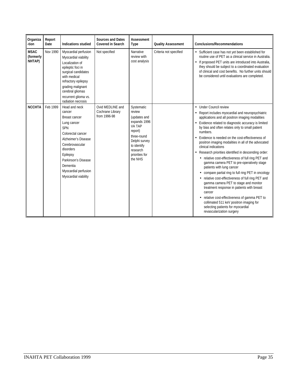| Organiza<br>-tion                  | Report<br>Date | <b>Indications studied</b>                                                                                                                                                                                                                              | <b>Sources and Dates</b><br><b>Covered in Search</b> | Assessment<br><b>Type</b>                                                                                                                                         | <b>Quality Assessment</b> | <b>Conclusions/Recommendations</b>                                                                                                                                                                                                                                                                                                                                                                                                                                                                                                                                                                                                                                                                                                                                                                                                                                                                                                                              |
|------------------------------------|----------------|---------------------------------------------------------------------------------------------------------------------------------------------------------------------------------------------------------------------------------------------------------|------------------------------------------------------|-------------------------------------------------------------------------------------------------------------------------------------------------------------------|---------------------------|-----------------------------------------------------------------------------------------------------------------------------------------------------------------------------------------------------------------------------------------------------------------------------------------------------------------------------------------------------------------------------------------------------------------------------------------------------------------------------------------------------------------------------------------------------------------------------------------------------------------------------------------------------------------------------------------------------------------------------------------------------------------------------------------------------------------------------------------------------------------------------------------------------------------------------------------------------------------|
| <b>MSAC</b><br>(formerly<br>NHTAP) | Nov 1990       | Myocardial perfusion<br>Myocardial viability<br>Localization of<br>epileptic foci in<br>surgical candidates<br>with medical<br>refractory epilepsy<br>grading malignant<br>cerebral gliomas<br>recurrent glioma vs.<br>radiation necrosis               | Not specified                                        | Narrative<br>review with<br>cost analysis                                                                                                                         | Criteria not specified    | • Sufficient case has not yet been established for<br>routine use of PET as a clinical service in Australia.<br>• If proposed PET units are introduced into Australia,<br>they should be subject to a coordinated evaluation<br>of clinical and cost benefits. No further units should<br>be considered until evaluations are completed.                                                                                                                                                                                                                                                                                                                                                                                                                                                                                                                                                                                                                        |
| <b>NCCHTA</b>                      | Feb 1999       | Head and neck<br>cancer<br><b>Breast cancer</b><br>Lung cancer<br><b>SPN</b><br>Colorectal cancer<br>Alzheimer's Disease<br>Cerebrovascular<br>disorders<br>Epilepsy<br>Parkinson's Disease<br>Dementia<br>Myocardial perfusion<br>Myocardial viability | Ovid MEDLINE and<br>Cochrane Library<br>from 1996-98 | Systematic<br>review<br>(updates and<br>expands 1996<br>VA TAP<br>report)<br>three-round<br>Delphi survey<br>to identify<br>research<br>priorities for<br>the NHS |                           | • Under Council review<br>• Report includes myocardial and neuropsychiatric<br>applications and all positron imaging modalities<br>• Evidence related to diagnostic accuracy is limited<br>by bias and often relates only to small patient<br>numbers.<br>• Evidence is needed on the cost-effectiveness of<br>positron imaging modalities in all of the advocated<br>clinical indications<br>• Research priorities identified in descending order:<br>• relative cost-effectiveness of full ring PET and<br>gamma camera PET to pre-operatively stage<br>patients with lung cancer<br>• compare partial ring to full ring PET in oncology<br>• relative cost-effectiveness of full ring PET and<br>gamma camera PET to stage and monitor<br>treatment response in patients with breast<br>cancer<br>• relative cost-effectiveness of gamma PET to<br>collimated 511 keV positron imaging for<br>selecting patients for myocardial<br>revascularization surgery |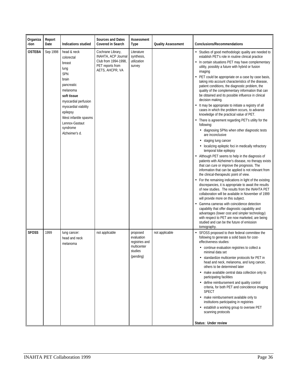| Organiza<br>-tion | Report<br>Date | Indications studied                                                                                                                                                                                                                              | <b>Sources and Dates</b><br><b>Covered in Search</b>                                                    | Assessment<br>Type                                                              | <b>Quality Assessment</b> | <b>Conclusions/Recommendations</b>                                                                                                                                                                                                                                                                                                                                                                                                                                                                                                                                                                                                                                                                                                                                                                                                                                                                                                                                                                                                                                                                                                                                                                                                                                                                                                                                                                                                                                                                                                                                                                                                                                                                                                             |
|-------------------|----------------|--------------------------------------------------------------------------------------------------------------------------------------------------------------------------------------------------------------------------------------------------|---------------------------------------------------------------------------------------------------------|---------------------------------------------------------------------------------|---------------------------|------------------------------------------------------------------------------------------------------------------------------------------------------------------------------------------------------------------------------------------------------------------------------------------------------------------------------------------------------------------------------------------------------------------------------------------------------------------------------------------------------------------------------------------------------------------------------------------------------------------------------------------------------------------------------------------------------------------------------------------------------------------------------------------------------------------------------------------------------------------------------------------------------------------------------------------------------------------------------------------------------------------------------------------------------------------------------------------------------------------------------------------------------------------------------------------------------------------------------------------------------------------------------------------------------------------------------------------------------------------------------------------------------------------------------------------------------------------------------------------------------------------------------------------------------------------------------------------------------------------------------------------------------------------------------------------------------------------------------------------------|
| <b>OSTEBA</b>     | Sep 1998       | head & neck<br>colorectal<br>breast<br>lung<br><b>SPN</b><br>brain<br>pancreatic<br>melanoma<br>soft tissue<br>myocardial perfusion<br>myocardial viability<br>epilepsy<br>West infantile spasms<br>Lennox-Gastaut<br>syndrome<br>Alzheimer's d. | Cochrane Library,<br>INAHTA, ACP Journal<br>Club from 1994-1998,<br>PET reports from<br>AETS, AHCPR, VA | Literature<br>synthesis,<br>utilization<br>survey                               |                           | • Studies of good methodologic quality are needed to<br>establish PET's role in routine clinical practice<br>• In certain situations PET may have complementary<br>utility, possibly a future with hybrid or fusion<br>imaging<br>• PET could be appropriate on a case by case basis,<br>taking into account characteristics of the disease,<br>patient conditions, the diagnostic problem, the<br>quality of the complementary information that can<br>be obtained and its possible influence in clinical<br>decision making.<br>• It may be appropriate to initiate a registry of all<br>cases in which the problem occurs, to advance<br>knowledge of the practical value of PET.<br>• There is agreement regarding PET's utility for the<br>following:<br>• diagnosing SPNs when other diagnostic tests<br>are inconclusive<br>• staging lung cancer<br>· localizing epileptic foci in medically refractory<br>temporal lobe epilepsy<br>• Although PET seems to help in the diagnosis of<br>patients with Alzheimer's disease, no therapy exists<br>that can cure or improve the prognosis. The<br>information that can be applied is not relevant from<br>the clinical-therapeutic point of view.<br>• For the remaining indications in light of the existing<br>discrepancies, it is appropriate to await the results<br>of new studies. The results from the INAHTA PET<br>collaboration will be available in November of 1999<br>will provide more on this subject.<br>• Gamma cameras with coincidence detection<br>capability that offer diagnostic capability and<br>advantages (lower cost and simpler technology)<br>with respect to PET are now marketed, are being<br>studied and can be the future of emission<br>tomography. |
| <b>SFOSS</b>      | 1999           | lung cancer:<br>head and neck<br>melanoma                                                                                                                                                                                                        | not applicable                                                                                          | proposed<br>evaluation<br>registries and<br>multicenter<br>studies<br>(pending) | not applicable            | SFOSS proposed to their federal committee the<br>following to generate a solid basis for cost-<br>effectiveness studies:<br>• continue evaluation registries to collect a<br>minimal data set<br>• standardize multicenter protocols for PET in<br>head and neck, melanoma, and lung cancer,<br>others to be determined later<br>• make available central data collection only to<br>participating facilities<br>• define reimbursement and quality control<br>criteria, for both PET and coincidence imaging<br><b>SPECT</b><br>• make reimbursement available only to<br>institutions participating in registries<br>• establish a working group to oversee PET<br>scanning protocols<br>Status: Under review                                                                                                                                                                                                                                                                                                                                                                                                                                                                                                                                                                                                                                                                                                                                                                                                                                                                                                                                                                                                                                |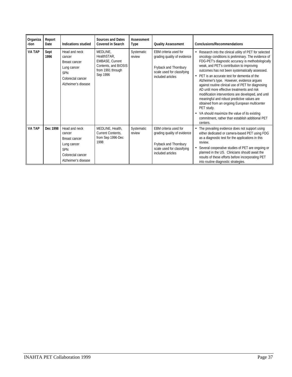| Organiza<br>-tion | Report<br>Date | <b>Indications studied</b>                                                                                               | <b>Sources and Dates</b><br><b>Covered in Search</b>                                                       | Assessment<br>Type   | <b>Quality Assessment</b>                                                                                                        | <b>Conclusions/Recommendations</b>                                                                                                                                                                                                                                                                                                                                                                                                                                                                                                                                                                                                                                                                                                                             |
|-------------------|----------------|--------------------------------------------------------------------------------------------------------------------------|------------------------------------------------------------------------------------------------------------|----------------------|----------------------------------------------------------------------------------------------------------------------------------|----------------------------------------------------------------------------------------------------------------------------------------------------------------------------------------------------------------------------------------------------------------------------------------------------------------------------------------------------------------------------------------------------------------------------------------------------------------------------------------------------------------------------------------------------------------------------------------------------------------------------------------------------------------------------------------------------------------------------------------------------------------|
| VA TAP            | Sept<br>1996   | Head and neck<br>cancer<br>Breast cancer<br>Lung cancer<br><b>SPN</b><br>Colorectal cancer<br>Alzheimer's disease        | MEDLINE.<br>HealthSTAR.<br><b>EMBASE, Current</b><br>Contents, and BIOSIS<br>from 1991 through<br>Sep 1996 | Systematic<br>review | FBM criteria used for<br>grading quality of evidence<br>Fryback and Thornbury<br>scale used for classifying<br>included articles | • Research into the clinical utility of PET for selected<br>oncology conditions is preliminary. The evidence of<br>FDG-PET's diagnostic accuracy is methodologically<br>weak, and PET's contribution to improving<br>outcomes has not been systematically assessed.<br>• PET is an accurate test for dementia of the<br>Alzheimer's type. However, evidence arques<br>against routine clinical use of PET for diagnosing<br>AD until more effective treatments and risk<br>modification interventions are developed, and until<br>meaningful and robust predictive values are<br>obtained from an ongoing European multicenter<br>PET study.<br>• VA should maximize the value of its existing<br>commitment, rather than establish additional PET<br>centers. |
| <b>VA TAP</b>     | Dec 1998       | Head and neck<br>cancer<br><b>Breast cancer</b><br>Lung cancer<br><b>SPN</b><br>Colorectal cancer<br>Alzheimer's disease | MEDLINE, Health,<br>Current Contents.<br>from Sep 1996-Dec<br>1998                                         | Systematic<br>review | EBM criteria used for<br>grading quality of evidence<br>Fryback and Thornbury<br>scale used for classifying<br>included articles | The prevailing evidence does not support using<br>either dedicated or camera-based PET using FDG<br>as a diagnostic test for the applications in this<br>review.<br>Several cooperative studies of PET are ongoing or<br>planned in the US. Clinicians should await the<br>results of these efforts before incorporating PET<br>into routine diagnostic strategies.                                                                                                                                                                                                                                                                                                                                                                                            |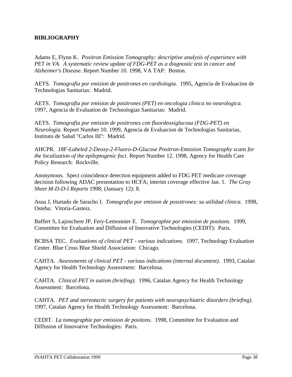## **BIBLIOGRAPHY**

Adams E, Flynn K. *Positron Emission Tomography: descriptive analysis of experience with PET in VA. A systematic review update of FDG-PET as a diagnostic test in cancer and Alzheimer's Disease.* Report Number 10. 1998, VA TAP: Boston.

AETS. *Tomografia por emision de positrones en cardiologia.* 1995, Agencia de Evaluacion de Technologias Sanitarias: Madrid.

AETS. *Tomografia por emision de positrones (PET) en oncologia clinica no neurologica.* 1997, Agencia de Evaluation de Technologias Sanitarias: Madrid.

AETS. *Tomografia por emision de positrones con fluordeoxiglucosa (FDG-PET) en Neurologia.* Report Number 10. 1999, Agencia de Evaluacion de Technologias Sanitarias, Instituto de Salud "Carlos III": Madrid.

AHCPR. *18F-Labeled 2-Deoxy-2-Fluoro-D-Glucose Positron-Emission Tomography scans for the localization of the epileptogenic foci.* Report Number 12. 1998, Agency for Health Care Policy Research: Rockville.

Anonymous. Spect coincidence detection equipment added to FDG PET medicare coverage decision following ADAC presentation to HCFA; interim coverage effective Jan. 1. *The Gray Sheet M-D-D-I Reports* 1998; (January 12): 8.

Asua J, Hurtado de Saracho I. *Tomografia por emision de possitrones: su utilidad clinica.* 1998, Osteba: Vitoria-Gasteiz.

Baffert S, Lajonchere JP, Fery-Lemonnier E. *Tomographie par emission de positons.* 1999, Committee for Evaluation and Diffusion of Innovative Technologies (CEDIT): Paris.

BCBSA TEC. *Evaluations of clinical PET - various indications.* 1997, Technology Evaluation Center. Blue Cross Blue Shield Association: Chicago.

CAHTA. *Assessments of clinical PET - various indications (internal document).* 1993, Catalan Agency for Health Technology Assessment: Barcelona.

CAHTA. *Clinical PET in autism (briefing).* 1996, Catalan Agency for Health Technology Assessment: Barcelona.

CAHTA. *PET and stereotactic surgery for patients with neuropsychiatric disorders (briefing).* 1997, Catalan Agency for Health Technology Assessment: Barcelona.

CEDIT. *La tomographie par emission de positons.* 1998, Committee for Evaluation and Diffusion of Innovative Technologies: Paris.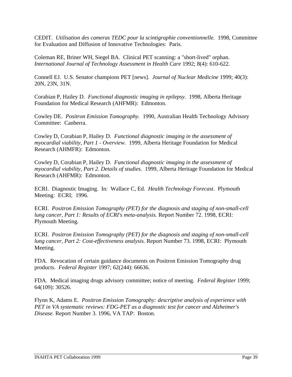CEDIT. *Utilisation des cameras TEDC pour la scintigraphie conventionnelle.* 1998, Committee for Evaluation and Diffusion of Innovative Technologies: Paris.

Coleman RE, Briner WH, Siegel BA. Clinical PET scanning: a "short-lived" orphan. *International Journal of Technology Assessment in Health Care* 1992; 8(4): 610-622.

Connell EJ. U.S. Senator champions PET [news]. *Journal of Nuclear Medicine* 1999; 40(3): 20N, 23N, 31N.

Corabian P, Hailey D. *Functional diagnostic imaging in epilepsy.* 1998, Alberta Heritage Foundation for Medical Research (AHFMR): Edmonton.

Cowley DE. *Positron Emission Tomography.* 1990, Australian Health Technology Advisory Committee: Canberra.

Cowley D, Corabian P, Hailey D. *Functional diagnostic imaging in the assessment of myocardial viability, Part 1 - Overview.* 1999, Alberta Heritage Foundation for Medical Research (AHMFR): Edmonton.

Cowley D, Corabian P, Hailey D. *Functional diagnostic imaging in the assessment of myocardial viability, Part 2. Details of studies.* 1999, Alberta Heritage Foundation for Medical Research (AHFMR): Edmonton.

ECRI. Diagnostic Imaging. In: Wallace C, Ed. *Health Technology Forecast*. Plymouth Meeting: ECRI; 1996.

ECRI. *Positron Emission Tomography (PET) for the diagnosis and staging of non-small-cell lung cancer, Part 1: Results of ECRI's meta-analysis.* Report Number 72. 1998, ECRI: Plymouth Meeting.

ECRI. *Positron Emission Tomography (PET) for the diagnosis and staging of non-small-cell lung cancer, Part 2: Cost-effectiveness analysis.* Report Number 73. 1998, ECRI: Plymouth Meeting.

FDA. Revocation of certain guidance documents on Positron Emission Tomography drug products. *Federal Register* 1997; 62(244): 66636.

FDA. Medical imaging drugs advisory committee; notice of meeting. *Federal Register* 1999; 64(109): 30526.

Flynn K, Adams E. *Positron Emission Tomography: descriptive analysis of experience with PET in VA systematic reviews: FDG-PET as a diagnostic test for cancer and Alzheimer's Disease.* Report Number 3. 1996, VA TAP: Boston.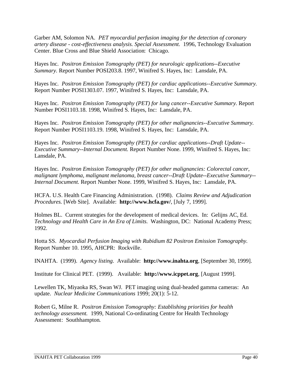Garber AM, Solomon NA. *PET myocardial perfusion imaging for the detection of coronary artery disease - cost-effectiveness analysis. Special Assessment.* 1996, Technology Evaluation Center. Blue Cross and Blue Shield Association: Chicago.

Hayes Inc. *Positron Emission Tomography (PET) for neurologic applications--Executive Summary.* Report Number POSI203.8. 1997, Winifred S. Hayes, Inc: Lansdale, PA.

Hayes Inc. *Positron Emission Tomography (PET) for cardiac applications--Executive Summary.* Report Number POSI1303.07. 1997, Winifred S. Hayes, Inc: Lansdale, PA.

Hayes Inc. *Positron Emission Tomography (PET) for lung cancer--Executive Summary.* Report Number POSI1103.18. 1998, Winifred S. Hayes, Inc: Lansdale, PA.

Hayes Inc. *Positron Emission Tomography (PET) for other malignancies--Executive Summary.* Report Number POSI1103.19. 1998, Winifred S. Hayes, Inc: Lansdale, PA.

Hayes Inc. *Positron Emission Tomography (PET) for cardiac applications--Draft Update-- Executive Summary--Internal Document.* Report Number None. 1999, Winifred S. Hayes, Inc: Lansdale, PA.

Hayes Inc. *Positron Emission Tomography (PET) for other malignancies: Colorectal cancer, malignant lymphoma, malignant melanoma, breast cancer--Draft Update--Executive Summary-- Internal Document.* Report Number None. 1999, Winifred S. Hayes, Inc: Lansdale, PA.

HCFA. U.S. Health Care Financing Administration. (1998). *Claims Review and Adjudication Procedures.* [Web Site]. Available: **http://www.hcfa.gov/**, [July 7, 1999].

Holmes BL. Current strategies for the development of medical devices. In: Gelijns AC, Ed. *Technology and Health Care in An Era of Limits*. Washington, DC: National Academy Press; 1992.

Hotta SS. *Myocardial Perfusion Imaging with Rubidium 82 Positron Emission Tomography.* Report Number 10. 1995, AHCPR: Rockville.

INAHTA. (1999). *Agency listing.* Available: **http://www.inahta.org**, [September 30, 1999].

Institute for Clinical PET. (1999). Available: **http://www.icppet.org**, [August 1999].

Lewellen TK, Miyaoka RS, Swan WJ. PET imaging using dual-headed gamma cameras: An update. *Nuclear Medicine Communications* 1999; 20(1): 5-12.

Robert G, Milne R. *Positron Emission Tomography: Establishing priorities for health technology assessment.* 1999, National Co-ordinating Centre for Health Technology Assessment: Southhampton.